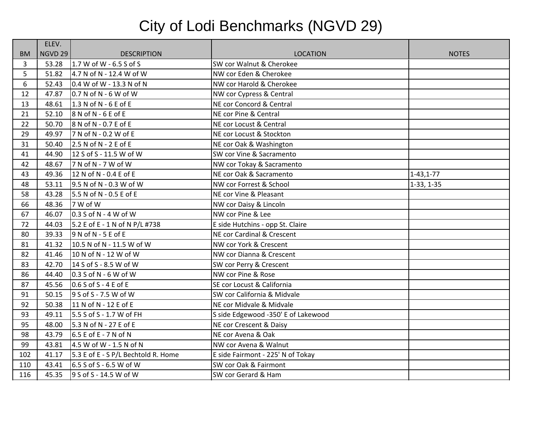## City of Lodi Benchmarks (NGVD 29)

|           | ELEV.          |                                     |                                       |                  |
|-----------|----------------|-------------------------------------|---------------------------------------|------------------|
| <b>BM</b> | <b>NGVD 29</b> | <b>DESCRIPTION</b>                  | <b>LOCATION</b>                       | <b>NOTES</b>     |
| 3         | 53.28          | $1.7 W of W - 6.5 S of S$           | SW cor Walnut & Cherokee              |                  |
| 5         | 51.82          | 4.7 N of N - 12.4 W of W            | NW cor Eden & Cherokee                |                  |
| 6         | 52.43          | 0.4 W of W - 13.3 N of N            | NW cor Harold & Cherokee              |                  |
| 12        | 47.87          | $0.7 N of N - 6 W of W$             | NW cor Cypress & Central              |                  |
| 13        | 48.61          | 1.3 N of N - 6 E of E               | NE cor Concord & Central              |                  |
| 21        | 52.10          | $8$ N of N - 6 E of E               | NE cor Pine & Central                 |                  |
| 22        | 50.70          | $8$ N of N - 0.7 E of E             | NE cor Locust & Central               |                  |
| 29        | 49.97          | 7 N of N - 0.2 W of E               | NE cor Locust & Stockton              |                  |
| 31        | 50.40          | 2.5 N of N - 2 E of E               | NE cor Oak & Washington               |                  |
| 41        | 44.90          | 12 S of S - 11.5 W of W             | SW cor Vine & Sacramento              |                  |
| 42        | 48.67          | 7 N of N - 7 W of W                 | NW cor Tokay & Sacramento             |                  |
| 43        | 49.36          | 12 N of N - 0.4 E of E              | NE cor Oak & Sacramento               | $1 - 43, 1 - 77$ |
| 48        | 53.11          | 9.5 N of N - 0.3 W of W             | NW cor Forrest & School               | $1-33, 1-35$     |
| 58        | 43.28          | 5.5 N of N - 0.5 E of E             | NE cor Vine & Pleasant                |                  |
| 66        | 48.36          | 7 W of W                            | NW cor Daisy & Lincoln                |                  |
| 67        | 46.07          | $0.3$ S of N - 4 W of W             | NW cor Pine & Lee                     |                  |
| 72        | 44.03          | 5.2 E of E - 1 N of N P/L #738      | E side Hutchins - opp St. Claire      |                  |
| 80        | 39.33          | $9$ N of N - 5 E of E               | <b>NE cor Cardinal &amp; Crescent</b> |                  |
| 81        | 41.32          | 10.5 N of N - 11.5 W of W           | NW cor York & Crescent                |                  |
| 82        | 41.46          | 10 N of N - 12 W of W               | NW cor Dianna & Crescent              |                  |
| 83        | 42.70          | 14 S of S - 8.5 W of W              | SW cor Perry & Crescent               |                  |
| 86        | 44.40          | $0.3$ S of N - 6 W of W             | NW cor Pine & Rose                    |                  |
| 87        | 45.56          | $0.6$ S of S - 4 E of E             | SE cor Locust & California            |                  |
| 91        | 50.15          | 9 S of S - 7.5 W of W               | SW cor California & Midvale           |                  |
| 92        | 50.38          | 11 N of N - 12 E of E               | NE cor Midvale & Midvale              |                  |
| 93        | 49.11          | 5.5 S of S - 1.7 W of FH            | S side Edgewood -350' E of Lakewood   |                  |
| 95        | 48.00          | 5.3 N of N - 27 E of E              | NE cor Crescent & Daisy               |                  |
| 98        | 43.79          | 6.5 E of E - 7 N of N               | NE cor Avena & Oak                    |                  |
| 99        | 43.81          | 4.5 W of W - 1.5 N of N             | NW cor Avena & Walnut                 |                  |
| 102       | 41.17          | 5.3 E of E - S P/L Bechtold R. Home | E side Fairmont - 225' N of Tokay     |                  |
| 110       | 43.41          | 6.5 S of S - 6.5 W of W             | SW cor Oak & Fairmont                 |                  |
| 116       | 45.35          | 9 S of S - 14.5 W of W              | SW cor Gerard & Ham                   |                  |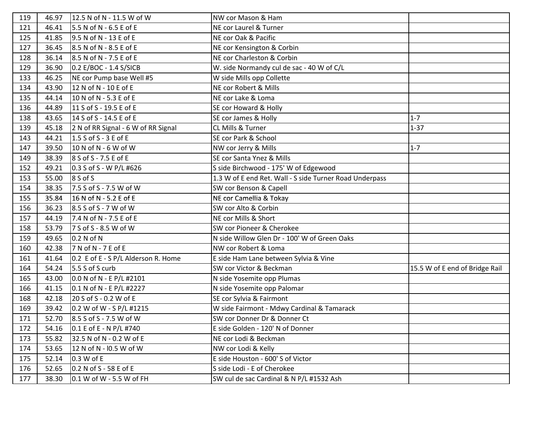| 119 | 46.97 | 12.5 N of N - 11.5 W of W           | NW cor Mason & Ham                                      |                                |
|-----|-------|-------------------------------------|---------------------------------------------------------|--------------------------------|
| 121 | 46.41 | 5.5 N of N - 6.5 E of E             | NE cor Laurel & Turner                                  |                                |
| 125 | 41.85 | 9.5 N of N - 13 E of E              | NE cor Oak & Pacific                                    |                                |
| 127 | 36.45 | 8.5 N of N - 8.5 E of E             | NE cor Kensington & Corbin                              |                                |
| 128 | 36.14 | 8.5 N of N - 7.5 E of E             | NE cor Charleston & Corbin                              |                                |
| 129 | 36.90 | 0.2 E/BOC - 1.4 S/SICB              | W. side Normandy cul de sac - 40 W of C/L               |                                |
| 133 | 46.25 | NE cor Pump base Well #5            | W side Mills opp Collette                               |                                |
| 134 | 43.90 | 12 N of N - 10 E of E               | NE cor Robert & Mills                                   |                                |
| 135 | 44.14 | 10 N of N - 5.3 E of E              | NE cor Lake & Loma                                      |                                |
| 136 | 44.89 | 11 S of S - 19.5 E of E             | SE cor Howard & Holly                                   |                                |
| 138 | 43.65 | 14 S of S - 14.5 E of E             | SE cor James & Holly                                    | $1 - 7$                        |
| 139 | 45.18 | 2 N of RR Signal - 6 W of RR Signal | <b>CL Mills &amp; Turner</b>                            | $1 - 37$                       |
| 143 | 44.21 | 1.5 S of S - 3 E of E               | SE cor Park & School                                    |                                |
| 147 | 39.50 | 10 N of N - 6 W of W                | NW cor Jerry & Mills                                    | $1 - 7$                        |
| 149 | 38.39 | 8 S of S - 7.5 E of E               | SE cor Santa Ynez & Mills                               |                                |
| 152 | 49.21 | 0.3 S of S - W P/L #626             | S side Birchwood - 175' W of Edgewood                   |                                |
| 153 | 55.00 | 8 S of S                            | 1.3 W of E end Ret. Wall - S side Turner Road Underpass |                                |
| 154 | 38.35 | 7.5 S of S - 7.5 W of W             | SW cor Benson & Capell                                  |                                |
| 155 | 35.84 | 16 N of N - 5.2 E of E              | NE cor Camellia & Tokay                                 |                                |
| 156 | 36.23 | 8.5 S of S - 7 W of W               | SW cor Alto & Corbin                                    |                                |
| 157 | 44.19 | 7.4 N of N - 7.5 E of E             | NE cor Mills & Short                                    |                                |
| 158 | 53.79 | 7 S of S - 8.5 W of W               | SW cor Pioneer & Cherokee                               |                                |
| 159 | 49.65 | 0.2 N of N                          | N side Willow Glen Dr - 100' W of Green Oaks            |                                |
| 160 | 42.38 | 7 N of N - 7 E of E                 | NW cor Robert & Loma                                    |                                |
| 161 | 41.64 | 0.2 E of E - S P/L Alderson R. Home | E side Ham Lane between Sylvia & Vine                   |                                |
| 164 | 54.24 | 5.5 S of S curb                     | SW cor Victor & Beckman                                 | 15.5 W of E end of Bridge Rail |
| 165 | 43.00 | 0.0 N of N - E P/L #2101            | N side Yosemite opp Plumas                              |                                |
| 166 | 41.15 | 0.1 N of N - E P/L #2227            | N side Yosemite opp Palomar                             |                                |
| 168 | 42.18 | 20 S of S - 0.2 W of E              | SE cor Sylvia & Fairmont                                |                                |
| 169 | 39.42 | 0.2 W of W - S P/L #1215            | W side Fairmont - Mdwy Cardinal & Tamarack              |                                |
| 171 | 52.70 | 8.5 S of S - 7.5 W of W             | SW cor Donner Dr & Donner Ct                            |                                |
| 172 | 54.16 | 0.1 E of E - N P/L #740             | E side Golden - 120' N of Donner                        |                                |
| 173 | 55.82 | 32.5 N of N - 0.2 W of E            | NE cor Lodi & Beckman                                   |                                |
| 174 | 53.65 | 12 N of N - I0.5 W of W             | NW cor Lodi & Kelly                                     |                                |
| 175 | 52.14 | 0.3 W of E                          | E side Houston - 600' S of Victor                       |                                |
| 176 | 52.65 | 0.2 N of S - 58 E of E              | S side Lodi - E of Cherokee                             |                                |
| 177 | 38.30 | 0.1 W of W - 5.5 W of FH            | SW cul de sac Cardinal & N P/L #1532 Ash                |                                |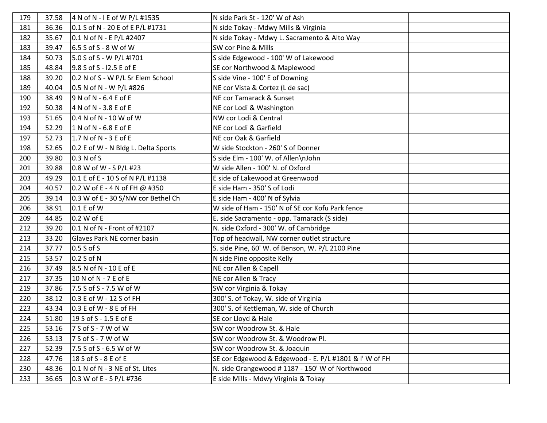| 179 | 37.58 | 4 N of N - I E of W P/L #1535       | N side Park St - 120' W of Ash                         |  |
|-----|-------|-------------------------------------|--------------------------------------------------------|--|
| 181 | 36.36 | 0.1 S of N - 20 E of E P/L #1731    | N side Tokay - Mdwy Mills & Virginia                   |  |
| 182 | 35.67 | 0.1 N of N - E P/L #2407            | N side Tokay - Mdwy L. Sacramento & Alto Way           |  |
| 183 | 39.47 | $6.5$ S of S - 8 W of W             | SW cor Pine & Mills                                    |  |
| 184 | 50.73 | 5.0 S of S - W P/L #1701            | S side Edgewood - 100' W of Lakewood                   |  |
| 185 | 48.84 | 9.8 S of S - I2.5 E of E            | SE cor Northwood & Maplewood                           |  |
| 188 | 39.20 | 0.2 N of S - W P/L Sr Elem School   | S side Vine - 100' E of Downing                        |  |
| 189 | 40.04 | 0.5 N of N - W P/L #826             | NE cor Vista & Cortez (L de sac)                       |  |
| 190 | 38.49 | $9 N of N - 6.4 E of E$             | NE cor Tamarack & Sunset                               |  |
| 192 | 50.38 | $4$ N of N - 3.8 E of E             | NE cor Lodi & Washington                               |  |
| 193 | 51.65 | $0.4 N of N - 10 W of W$            | NW cor Lodi & Central                                  |  |
| 194 | 52.29 | $1$ N of N - 6.8 E of E             | NE cor Lodi & Garfield                                 |  |
| 197 | 52.73 | $1.7 N of N - 3 E of E$             | NE cor Oak & Garfield                                  |  |
| 198 | 52.65 | 0.2 E of W - N Bldg L. Delta Sports | W side Stockton - 260' S of Donner                     |  |
| 200 | 39.80 | 0.3 N of S                          | S side Elm - 100' W. of Allen\nJohn                    |  |
| 201 | 39.88 | 0.8 W of W - S P/L #23              | W side Allen - 100' N. of Oxford                       |  |
| 203 | 49.29 | 0.1 E of E - 10 S of N P/L #1138    | E side of Lakewood at Greenwood                        |  |
| 204 | 40.57 | 0.2 W of E - 4 N of FH @ #350       | E side Ham - 350' S of Lodi                            |  |
| 205 | 39.14 | 0.3 W of E - 30 S/NW cor Bethel Ch  | E side Ham - 400' N of Sylvia                          |  |
| 206 | 38.91 | $0.1 E$ of W                        | W side of Ham - 150' N of SE cor Kofu Park fence       |  |
| 209 | 44.85 | 0.2 W of E                          | E. side Sacramento - opp. Tamarack (S side)            |  |
| 212 | 39.20 | 0.1 N of N - Front of #2107         | N. side Oxford - 300' W. of Cambridge                  |  |
| 213 | 33.20 | Glaves Park NE corner basin         | Top of headwall, NW corner outlet structure            |  |
| 214 | 37.77 | $0.5 S$ of S                        | S. side Pine, 60' W. of Benson, W. P/L 2100 Pine       |  |
| 215 | 53.57 | 0.2 S of N                          | N side Pine opposite Kelly                             |  |
| 216 | 37.49 | 8.5 N of N - 10 E of E              | NE cor Allen & Capell                                  |  |
| 217 | 37.35 | 10 N of N - 7 E of E                | NE cor Allen & Tracy                                   |  |
| 219 | 37.86 | 7.5 S of S - 7.5 W of W             | SW cor Virginia & Tokay                                |  |
| 220 | 38.12 | 0.3 E of W - 12 S of FH             | 300' S. of Tokay, W. side of Virginia                  |  |
| 223 | 43.34 | $0.3$ E of W - 8 E of FH            | 300' S. of Kettleman, W. side of Church                |  |
| 224 | 51.80 | 19 S of S - 1.5 E of E              | SE cor Lloyd & Hale                                    |  |
| 225 | 53.16 | 7 S of S - 7 W of W                 | SW cor Woodrow St. & Hale                              |  |
| 226 | 53.13 | 7 S of S - 7 W of W                 | SW cor Woodrow St. & Woodrow Pl.                       |  |
| 227 | 52.39 | 7.5 S of S - 6.5 W of W             | SW cor Woodrow St. & Joaquin                           |  |
| 228 | 47.76 | 18 S of S - 8 E of E                | SE cor Edgewood & Edgewood - E. P/L #1801 & I' W of FH |  |
| 230 | 48.36 | 0.1 N of N - 3 NE of St. Lites      | N. side Orangewood #1187 - 150' W of Northwood         |  |
| 233 | 36.65 | $0.3$ W of E - S P/L #736           | E side Mills - Mdwy Virginia & Tokay                   |  |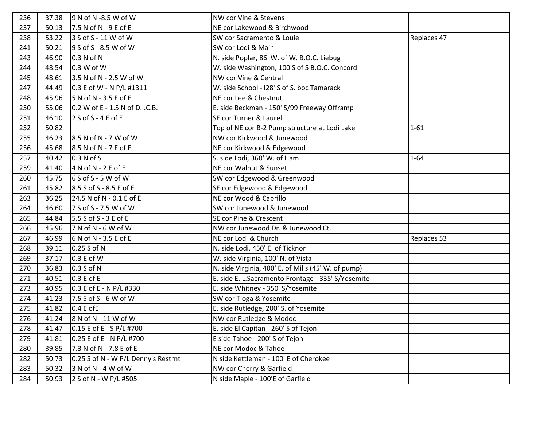| 236 | 37.38 | 9 N of N -8.5 W of W                | NW cor Vine & Stevens                               |             |
|-----|-------|-------------------------------------|-----------------------------------------------------|-------------|
| 237 | 50.13 | 7.5 N of N - 9 E of E               | NE cor Lakewood & Birchwood                         |             |
| 238 | 53.22 | 3 S of S - 11 W of W                | SW cor Sacramento & Louie                           | Replaces 47 |
| 241 | 50.21 | 9 S of S - 8.5 W of W               | SW cor Lodi & Main                                  |             |
| 243 | 46.90 | 0.3 N of N                          | N. side Poplar, 86' W. of W. B.O.C. Liebug          |             |
| 244 | 48.54 | 0.3 W of W                          | W. side Washington, 100'S of S B.O.C. Concord       |             |
| 245 | 48.61 | 3.5 N of N - 2.5 W of W             | NW cor Vine & Central                               |             |
| 247 | 44.49 | 0.3 E of W - N P/L #1311            | W. side School - I28' S of S. boc Tamarack          |             |
| 248 | 45.96 | 5 N of N - 3.5 E of E               | NE cor Lee & Chestnut                               |             |
| 250 | 55.06 | 0.2 W of E - 1.5 N of D.I.C.B.      | E. side Beckman - 150' S/99 Freeway Offramp         |             |
| 251 | 46.10 | $2 S of S - 4 E of E$               | SE cor Turner & Laurel                              |             |
| 252 | 50.82 |                                     | Top of NE cor B-2 Pump structure at Lodi Lake       | $1 - 61$    |
| 255 | 46.23 | 8.5 N of N - 7 W of W               | NW cor Kirkwood & Junewood                          |             |
| 256 | 45.68 | 8.5 N of N - 7 E of E               | NE cor Kirkwood & Edgewood                          |             |
| 257 | 40.42 | 0.3 N of S                          | S. side Lodi, 360' W. of Ham                        | $1 - 64$    |
| 259 | 41.40 | $4 N of N - 2 E of E$               | NE cor Walnut & Sunset                              |             |
| 260 | 45.75 | $6S$ of S - 5 W of W                | SW cor Edgewood & Greenwood                         |             |
| 261 | 45.82 | 8.5 S of S - 8.5 E of E             | SE cor Edgewood & Edgewood                          |             |
| 263 | 36.25 | 24.5 N of N - 0.1 E of E            | NE cor Wood & Cabrillo                              |             |
| 264 | 46.60 | 7 S of S - 7.5 W of W               | SW cor Junewood & Junewood                          |             |
| 265 | 44.84 | 5.5 S of S - 3 E of E               | SE cor Pine & Crescent                              |             |
| 266 | 45.96 | $7$ N of N - 6 W of W               | NW cor Junewood Dr. & Junewood Ct.                  |             |
| 267 | 46.99 | $6$ N of N - 3.5 E of E             | NE cor Lodi & Church                                | Replaces 53 |
| 268 | 39.11 | 0.25 S of N                         | N. side Lodi, 450' E. of Ticknor                    |             |
| 269 | 37.17 | 0.3 E of W                          | W. side Virginia, 100' N. of Vista                  |             |
| 270 | 36.83 | 0.3 S of N                          | N. side Virginia, 400' E. of Mills (45' W. of pump) |             |
| 271 | 40.51 | 0.3 E of E                          | E. side E. L.Sacramento Frontage - 335' S/Yosemite  |             |
| 273 | 40.95 | 0.3 E of E - N P/L #330             | E. side Whitney - 350' S/Yosemite                   |             |
| 274 | 41.23 | 7.5 S of S - 6 W of W               | SW cor Tioga & Yosemite                             |             |
| 275 | 41.82 | $0.4 E$ of E                        | E. side Rutledge, 200' S. of Yosemite               |             |
| 276 | 41.24 | 8 N of N - 11 W of W                | NW cor Rutledge & Modoc                             |             |
| 278 | 41.47 | 0.15 E of E - S P/L #700            | E. side El Capitan - 260' S of Tejon                |             |
| 279 | 41.81 | 0.25 E of E - N P/L #700            | E side Tahoe - 200' S of Tejon                      |             |
| 280 | 39.85 | 7.3 N of N - 7.8 E of E             | NE cor Modoc & Tahoe                                |             |
| 282 | 50.73 | 0.25 S of N - W P/L Denny's Restrnt | N side Kettleman - 100' E of Cherokee               |             |
| 283 | 50.32 | 3 N of N - 4 W of W                 | NW cor Cherry & Garfield                            |             |
| 284 | 50.93 | 2 S of N - W P/L #505               | N side Maple - 100'E of Garfield                    |             |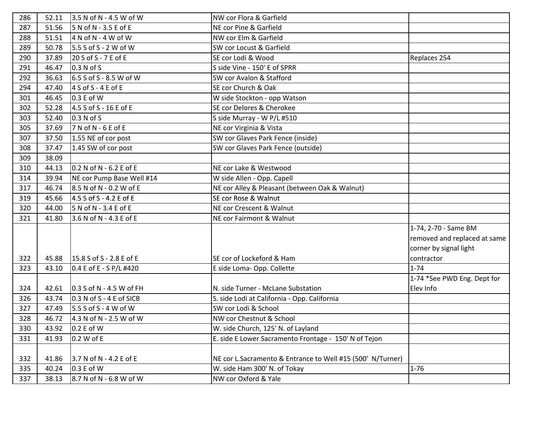| 286 | 52.11 | 3.5 N of N - 4.5 W of W    | NW cor Flora & Garfield                                    |                              |
|-----|-------|----------------------------|------------------------------------------------------------|------------------------------|
| 287 | 51.56 | $5$ N of N - 3.5 E of E    | NE cor Pine & Garfield                                     |                              |
| 288 | 51.51 | $4$ N of N - $4$ W of W    | NW cor Elm & Garfield                                      |                              |
| 289 | 50.78 | 5.5 S of S - 2 W of W      | SW cor Locust & Garfield                                   |                              |
| 290 | 37.89 | 20 S of S - 7 E of E       | SE cor Lodi & Wood                                         | Replaces 254                 |
| 291 | 46.47 | 0.3 N of S                 | S side Vine - 150' E of SPRR                               |                              |
| 292 | 36.63 | 6.5 S of S - 8.5 W of W    | SW cor Avalon & Stafford                                   |                              |
| 294 | 47.40 | $4 S of S - 4 E of E$      | SE cor Church & Oak                                        |                              |
| 301 | 46.45 | 0.3 E of W                 | W side Stockton - opp Watson                               |                              |
| 302 | 52.28 | 4.5 S of S - 16 E of E     | SE cor Delores & Cherokee                                  |                              |
| 303 | 52.40 | 0.3 N of S                 | S side Murray - W P/L #510                                 |                              |
| 305 | 37.69 | $7 N of N - 6 E of E$      | NE cor Virginia & Vista                                    |                              |
| 307 | 37.50 | 1.55 NE of cor post        | SW cor Glaves Park Fence (inside)                          |                              |
| 308 | 37.47 | 1.45 SW of cor post        | SW cor Glaves Park Fence (outside)                         |                              |
| 309 | 38.09 |                            |                                                            |                              |
| 310 | 44.13 | 0.2 N of N - 6.2 E of E    | NE cor Lake & Westwood                                     |                              |
| 314 | 39.94 | NE cor Pump Base Well #14  | W side Allen - Opp. Capell                                 |                              |
| 317 | 46.74 | 8.5 N of N - 0.2 W of E    | NE cor Alley & Pleasant (between Oak & Walnut)             |                              |
| 319 | 45.66 | 4.5 S of S - 4.2 E of E    | SE cor Rose & Walnut                                       |                              |
| 320 | 44.00 | 5 N of N - 3.4 E of E      | NE cor Crescent & Walnut                                   |                              |
| 321 | 41.80 | 3.6 N of N - 4.3 E of E    | NE cor Fairmont & Walnut                                   |                              |
|     |       |                            |                                                            | 1-74, 2-70 - Same BM         |
|     |       |                            |                                                            | removed and replaced at same |
|     |       |                            |                                                            | corner by signal light       |
| 322 | 45.88 | 15.8 S of S - 2.8 E of E   | SE cor of Lockeford & Ham                                  | contractor                   |
| 323 | 43.10 | 0.4 E of E - S P/L #420    | E side Loma-Opp. Collette                                  | $1 - 74$                     |
|     |       |                            |                                                            | 1-74 *See PWD Eng. Dept for  |
| 324 | 42.61 | $0.3$ S of N - 4.5 W of FH | N. side Turner - McLane Substation                         | Elev Info                    |
| 326 | 43.74 | $0.3$ N of S - 4 E of SICB | S. side Lodi at California - Opp. California               |                              |
| 327 | 47.49 | $5.5$ S of S - 4 W of W    | SW cor Lodi & School                                       |                              |
| 328 | 46.72 | 4.3 N of N - 2.5 W of W    | NW cor Chestnut & School                                   |                              |
| 330 | 43.92 | 0.2 E of W                 | W. side Church, 125' N. of Layland                         |                              |
| 331 | 41.93 | 0.2 W of E                 | E. side E Lower Sacramento Frontage - 150' N of Tejon      |                              |
|     |       |                            |                                                            |                              |
| 332 | 41.86 | 3.7 N of N - 4.2 E of E    | NE cor L.Sacramento & Entrance to Well #15 (500' N/Turner) |                              |
| 335 | 40.24 | 0.3 E of W                 | W. side Ham 300' N. of Tokay                               | $1 - 76$                     |
| 337 | 38.13 | 8.7 N of N - 6.8 W of W    | NW cor Oxford & Yale                                       |                              |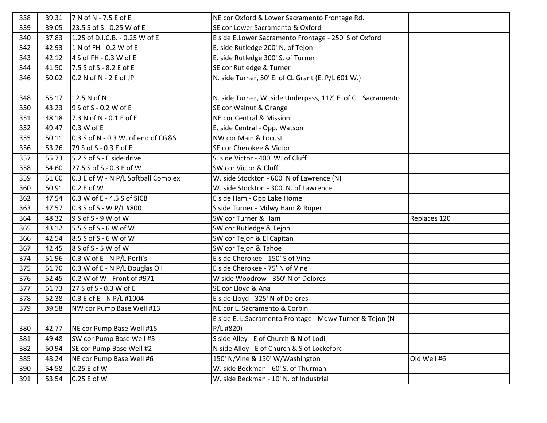| 338 | 39.31 | 7 N of N - 7.5 E of E               | NE cor Oxford & Lower Sacramento Frontage Rd.               |              |
|-----|-------|-------------------------------------|-------------------------------------------------------------|--------------|
| 339 | 39.05 | 23.5 S of S - 0.25 W of E           | SE cor Lower Sacramento & Oxford                            |              |
| 340 | 37.83 | 1.25 of D.I.C.B. - 0.25 W of E      | E side E.Lower Sacramento Frontage - 250' S of Oxford       |              |
| 342 | 42.93 | 1 N of FH - 0.2 W of E              | E. side Rutledge 200' N. of Tejon                           |              |
| 343 | 42.12 | 4 S of FH - 0.3 W of E              | E. side Rutledge 300' S. of Turner                          |              |
| 344 | 41.50 | 7.5 S of S - 8.2 E of E             | SE cor Rutledge & Turner                                    |              |
| 346 | 50.02 | 0.2 N of N - 2 E of JP              | N. side Turner, 50' E. of CL Grant (E. P/L 601 W.)          |              |
|     |       |                                     |                                                             |              |
| 348 | 55.17 | 12.5 N of N                         | N. side Turner, W. side Underpass, 112' E. of CL Sacramento |              |
| 350 | 43.23 | $9 S of S - 0.2 W of E$             | SE cor Walnut & Orange                                      |              |
| 351 | 48.18 | 7.3 N of N - 0.1 E of E             | NE cor Central & Mission                                    |              |
| 352 | 49.47 | 0.3 W of E                          | E. side Central - Opp. Watson                               |              |
| 355 | 50.11 | 0.3 S of N - 0.3 W. of end of CG&S  | NW cor Main & Locust                                        |              |
| 356 | 53.26 | 79 S of S - 0.3 E of E              | SE cor Cherokee & Victor                                    |              |
| 357 | 55.73 | 5.2 S of S - E side drive           | S. side Victor - 400' W. of Cluff                           |              |
| 358 | 54.60 | 27.5 S of S - 0.3 E of W            | SW cor Victor & Cluff                                       |              |
| 359 | 51.60 | 0.3 E of W - N P/L Softball Complex | W. side Stockton - 600' N of Lawrence (N)                   |              |
| 360 | 50.91 | 0.2 E of W                          | W. side Stockton - 300' N. of Lawrence                      |              |
| 362 | 47.54 | $0.3$ W of E - 4.5 S of SICB        | E side Ham - Opp Lake Home                                  |              |
| 363 | 47.57 | 0.3 S of S - W P/L #800             | S side Turner - Mdwy Ham & Roper                            |              |
| 364 | 48.32 | 9 S of S - 9 W of W                 | SW cor Turner & Ham                                         | Replaces 120 |
| 365 | 43.12 | 5.5 S of S - 6 W of W               | SW cor Rutledge & Tejon                                     |              |
| 366 | 42.54 | $8.5$ S of S - 6 W of W             | SW cor Tejon & El Capitan                                   |              |
| 367 | 42.45 | $8$ S of S - 5 W of W               | SW cor Tejon & Tahoe                                        |              |
| 374 | 51.96 | $0.3$ W of E - N P/L Porfi's        | E side Cherokee - 150' S of Vine                            |              |
| 375 | 51.70 | 0.3 W of E - N P/L Douglas Oil      | E side Cherokee - 75' N of Vine                             |              |
| 376 | 52.45 | 0.2 W of W - Front of #971          | W side Woodrow - 350' N of Delores                          |              |
| 377 | 51.73 | 27 S of S - 0.3 W of E              | SE cor Lloyd & Ana                                          |              |
| 378 | 52.38 | 0.3 E of E - N P/L #1004            | E side Lloyd - 325' N of Delores                            |              |
| 379 | 39.58 | NW cor Pump Base Well #13           | NE cor L. Sacramento & Corbin                               |              |
|     |       |                                     | E side E. L.Sacramento Frontage - Mdwy Turner & Tejon (N    |              |
| 380 | 42.77 | NE cor Pump Base Well #15           | $P/L$ #820)                                                 |              |
| 381 | 49.48 | SW cor Pump Base Well #3            | S side Alley - E of Church & N of Lodi                      |              |
| 382 | 50.94 | SE cor Pump Base Well #2            | N side Alley - E of Church & S of Lockeford                 |              |
| 385 | 48.24 | NE cor Pump Base Well #6            | 150' N/Vine & 150' W/Washington                             | Old Well #6  |
| 390 | 54.58 | 0.25 E of W                         | W. side Beckman - 60' S. of Thurman                         |              |
| 391 | 53.54 | 0.25 E of W                         | W. side Beckman - 10' N. of Industrial                      |              |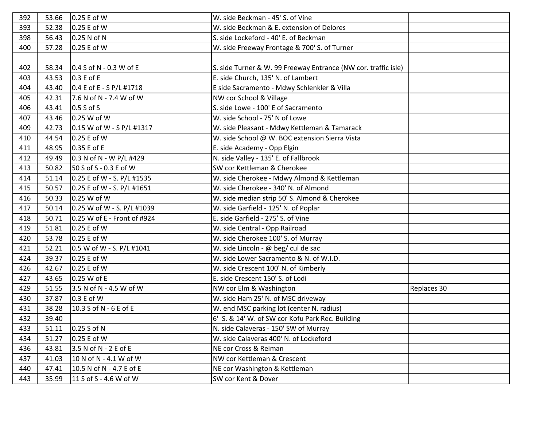| 392 | 53.66 | 0.25 E of W                  | W. side Beckman - 45' S. of Vine                               |             |
|-----|-------|------------------------------|----------------------------------------------------------------|-------------|
| 393 | 52.38 | 0.25 E of W                  | W. side Beckman & E. extension of Delores                      |             |
| 398 | 56.43 | 0.25 N of N                  | S. side Lockeford - 40' E. of Beckman                          |             |
| 400 | 57.28 | 0.25 E of W                  | W. side Freeway Frontage & 700' S. of Turner                   |             |
|     |       |                              |                                                                |             |
| 402 | 58.34 | $0.4$ S of N - 0.3 W of E    | S. side Turner & W. 99 Freeway Entrance (NW cor. traffic isle) |             |
| 403 | 43.53 | $0.3 E$ of E                 | E. side Church, 135' N. of Lambert                             |             |
| 404 | 43.40 | 0.4 E of E - S P/L #1718     | E side Sacramento - Mdwy Schlenkler & Villa                    |             |
| 405 | 42.31 | 7.6 N of N - 7.4 W of W      | NW cor School & Village                                        |             |
| 406 | 43.41 | $0.5 S$ of S                 | S. side Lowe - 100' E of Sacramento                            |             |
| 407 | 43.46 | 0.25 W of W                  | W. side School - 75' N of Lowe                                 |             |
| 409 | 42.73 | 0.15 W of W - S P/L #1317    | W. side Pleasant - Mdwy Kettleman & Tamarack                   |             |
| 410 | 44.54 | 0.25 E of W                  | W. side School @ W. BOC extension Sierra Vista                 |             |
| 411 | 48.95 | 0.35 E of E                  | E. side Academy - Opp Elgin                                    |             |
| 412 | 49.49 | 0.3 N of N - W P/L #429      | N. side Valley - 135' E. of Fallbrook                          |             |
| 413 | 50.82 | 50 S of S - 0.3 E of W       | SW cor Kettleman & Cherokee                                    |             |
| 414 | 51.14 | 0.25 E of W - S. P/L #1535   | W. side Cherokee - Mdwy Almond & Kettleman                     |             |
| 415 | 50.57 | $0.25$ E of W - S. P/L #1651 | W. side Cherokee - 340' N. of Almond                           |             |
| 416 | 50.33 | 0.25 W of W                  | W. side median strip 50' S. Almond & Cherokee                  |             |
| 417 | 50.14 | 0.25 W of W - S. P/L #1039   | W. side Garfield - 125' N. of Poplar                           |             |
| 418 | 50.71 | 0.25 W of E - Front of #924  | E. side Garfield - 275' S. of Vine                             |             |
| 419 | 51.81 | 0.25 E of W                  | W. side Central - Opp Railroad                                 |             |
| 420 | 53.78 | 0.25 E of W                  | W. side Cherokee 100' S. of Murray                             |             |
| 421 | 52.21 | 0.5 W of W - S. P/L #1041    | W. side Lincoln - @ beg/ cul de sac                            |             |
| 424 | 39.37 | 0.25 E of W                  | W. side Lower Sacramento & N. of W.I.D.                        |             |
| 426 | 42.67 | 0.25 E of W                  | W. side Crescent 100' N. of Kimberly                           |             |
| 427 | 43.65 | 0.25 W of E                  | E. side Crescent 150' S. of Lodi                               |             |
| 429 | 51.55 | 3.5 N of N - 4.5 W of W      | NW cor Elm & Washington                                        | Replaces 30 |
| 430 | 37.87 | 0.3 E of W                   | W. side Ham 25' N. of MSC driveway                             |             |
| 431 | 38.28 | 10.3 S of N - 6 E of E       | W. end MSC parking lot (center N. radius)                      |             |
| 432 | 39.40 |                              | 6' S. & 14' W. of SW cor Kofu Park Rec. Building               |             |
| 433 | 51.11 | 0.25 S of N                  | N. side Calaveras - 150' SW of Murray                          |             |
| 434 | 51.27 | 0.25 E of W                  | W. side Calaveras 400' N. of Lockeford                         |             |
| 436 | 43.81 | 3.5 N of N - 2 E of E        | NE cor Cross & Reiman                                          |             |
| 437 | 41.03 | 10 N of N - 4.1 W of W       | NW cor Kettleman & Crescent                                    |             |
| 440 | 47.41 | 10.5 N of N - 4.7 E of E     | NE cor Washington & Kettleman                                  |             |
| 443 | 35.99 | 11 S of S - 4.6 W of W       | SW cor Kent & Dover                                            |             |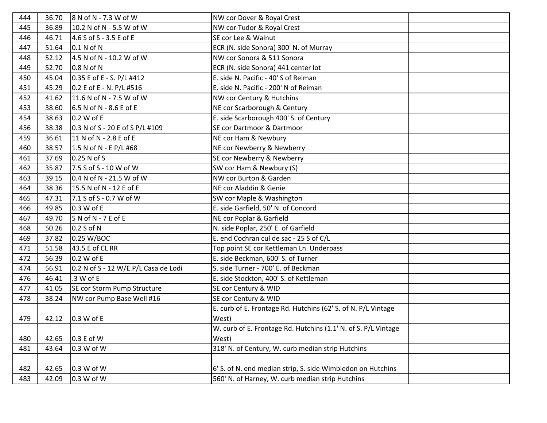| 444 | 36.70 | 8 N of N - 7.3 W of W                | NW cor Dover & Royal Crest                                     |  |
|-----|-------|--------------------------------------|----------------------------------------------------------------|--|
| 445 | 36.89 | 10.2 N of N - 5.5 W of W             | NW cor Tudor & Royal Crest                                     |  |
| 446 | 46.71 | 4.6 S of S - 3.5 E of E              | SE cor Lee & Walnut                                            |  |
| 447 | 51.64 | 0.1 N of N                           | ECR (N. side Sonora) 300' N. of Murray                         |  |
| 448 | 52.12 | 4.5 N of N - 10.2 W of W             | NW cor Sonora & 511 Sonora                                     |  |
| 449 | 52.70 | 0.8 N of N                           | ECR (N. side Sonora) 441 center lot                            |  |
| 450 | 45.04 | 0.35 E of E - S. P/L #412            | E. side N. Pacific - 40' S of Reiman                           |  |
| 451 | 45.29 | 0.2 E of E - N. P/L #516             | E. side N. Pacific - 200' N of Reiman                          |  |
| 452 | 41.62 | 11.6 N of N - 7.5 W of W             | NW cor Century & Hutchins                                      |  |
| 453 | 38.60 | 6.5 N of N - 8.6 E of E              | NE cor Scarborough & Century                                   |  |
| 454 | 38.63 | 0.2 W of E                           | E. side Scarborough 400' S. of Century                         |  |
| 456 | 38.38 | 0.3 N of S - 20 E of S P/L #109      | SE cor Dartmoor & Dartmoor                                     |  |
| 459 | 36.61 | 11 N of N - 2.8 E of E               | NE cor Ham & Newbury                                           |  |
| 460 | 38.57 | 1.5 N of N - E P/L #68               | NE cor Newberry & Newberry                                     |  |
| 461 | 37.69 | 0.25 N of S                          | SE cor Newberry & Newberry                                     |  |
| 462 | 35.87 | 7.5 S of S - 10 W of W               | SW cor Ham & Newbury (S)                                       |  |
| 463 | 39.15 | 0.4 N of N - 21.5 W of W             | NW cor Burton & Garden                                         |  |
| 464 | 38.36 | 15.5 N of N - 12 E of E              | NE cor Aladdin & Genie                                         |  |
| 465 | 47.31 | 7.1 S of S - 0.7 W of W              | SW cor Maple & Washington                                      |  |
| 466 | 49.85 | 0.3 W of E                           | E. side Garfield, 50' N. of Concord                            |  |
| 467 | 49.70 | 5 N of N - 7 E of E                  | NE cor Poplar & Garfield                                       |  |
| 468 | 50.26 | 0.2 S of N                           | N. side Poplar, 250' E. of Garfield                            |  |
| 469 | 37.82 | 0.25 W/BOC                           | E. end Cochran cul de sac - 25 S of C/L                        |  |
| 471 | 51.58 | 43.5 E of CL RR                      | Top point SE cor Kettleman Ln. Underpass                       |  |
| 472 | 56.39 | 0.2 W of E                           | E. side Beckman, 600' S. of Turner                             |  |
| 474 | 56.91 | 0.2 N of S - 12 W/E.P/L Casa de Lodi | S. side Turner - 700' E. of Beckman                            |  |
| 476 | 46.41 | .3 W of E                            | E. side Stockton, 400' S. of Kettleman                         |  |
| 477 | 41.05 | SE cor Storm Pump Structure          | SE cor Century & WID                                           |  |
| 478 | 38.24 | NW cor Pump Base Well #16            | SE cor Century & WID                                           |  |
|     |       |                                      | E. curb of E. Frontage Rd. Hutchins (62' S. of N. P/L Vintage  |  |
| 479 | 42.12 | 0.3 W of E                           | West)                                                          |  |
|     |       |                                      | W. curb of E. Frontage Rd. Hutchins (1.1' N. of S. P/L Vintage |  |
| 480 | 42.65 | 0.3 E of W                           | West)                                                          |  |
| 481 | 43.64 | 0.3 W of W                           | 318' N. of Century, W. curb median strip Hutchins              |  |
|     |       |                                      |                                                                |  |
| 482 | 42.65 | 0.3 W of W                           | 6' S. of N. end median strip, S. side Wimbledon on Hutchins    |  |
| 483 | 42.09 | 0.3 W of W                           | 560' N. of Harney, W. curb median strip Hutchins               |  |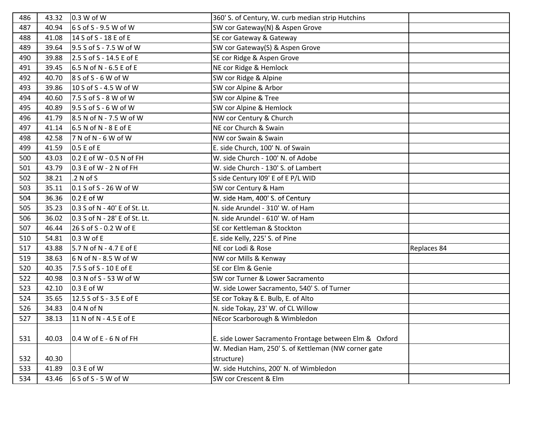| 486 | 43.32 | 0.3 W of W                    | 360' S. of Century, W. curb median strip Hutchins      |             |
|-----|-------|-------------------------------|--------------------------------------------------------|-------------|
| 487 | 40.94 | 6 S of S - 9.5 W of W         | SW cor Gateway(N) & Aspen Grove                        |             |
| 488 | 41.08 | 14 S of S - 18 E of E         | SE cor Gateway & Gateway                               |             |
| 489 | 39.64 | 9.5 S of S - 7.5 W of W       | SW cor Gateway(S) & Aspen Grove                        |             |
| 490 | 39.88 | 2.5 S of S - 14.5 E of E      | SE cor Ridge & Aspen Grove                             |             |
| 491 | 39.45 | 6.5 N of N - 6.5 E of E       | NE cor Ridge & Hemlock                                 |             |
| 492 | 40.70 | $8S$ of S - 6 W of W          | SW cor Ridge & Alpine                                  |             |
| 493 | 39.86 | 10 S of S - 4.5 W of W        | SW cor Alpine & Arbor                                  |             |
| 494 | 40.60 | 7.5 S of S - 8 W of W         | SW cor Alpine & Tree                                   |             |
| 495 | 40.89 | $9.5$ S of S - 6 W of W       | SW cor Alpine & Hemlock                                |             |
| 496 | 41.79 | 8.5 N of N - 7.5 W of W       | NW cor Century & Church                                |             |
| 497 | 41.14 | 6.5 N of N - 8 E of E         | NE cor Church & Swain                                  |             |
| 498 | 42.58 | 7 N of N - 6 W of W           | NW cor Swain & Swain                                   |             |
| 499 | 41.59 | 0.5 E of E                    | E. side Church, 100' N. of Swain                       |             |
| 500 | 43.03 | 0.2 E of W - 0.5 N of FH      | W. side Church - 100' N. of Adobe                      |             |
| 501 | 43.79 | 0.3 E of W - 2 N of FH        | W. side Church - 130' S. of Lambert                    |             |
| 502 | 38.21 | .2 N of S                     | S side Century I09' E of E P/L WID                     |             |
| 503 | 35.11 | 0.1 S of S - 26 W of W        | SW cor Century & Ham                                   |             |
| 504 | 36.36 | 0.2 E of W                    | W. side Ham, 400' S. of Century                        |             |
| 505 | 35.23 | 0.3 S of N - 40' E of St. Lt. | N. side Arundel - 310' W. of Ham                       |             |
| 506 | 36.02 | 0.3 S of N - 28' E of St. Lt. | N. side Arundel - 610' W. of Ham                       |             |
| 507 | 46.44 | 26 S of S - 0.2 W of E        | SE cor Kettleman & Stockton                            |             |
| 510 | 54.81 | 0.3 W of E                    | E. side Kelly, 225' S. of Pine                         |             |
| 517 | 43.88 | 5.7 N of N - 4.7 E of E       | NE cor Lodi & Rose                                     | Replaces 84 |
| 519 | 38.63 | 6 N of N - 8.5 W of W         | NW cor Mills & Kenway                                  |             |
| 520 | 40.35 | 7.5 S of S - 10 E of E        | SE cor Elm & Genie                                     |             |
| 522 | 40.98 | 0.3 N of S - 53 W of W        | SW cor Turner & Lower Sacramento                       |             |
| 523 | 42.10 | 0.3 E of W                    | W. side Lower Sacramento, 540' S. of Turner            |             |
| 524 | 35.65 | 12.5 S of S - 3.5 E of E      | SE cor Tokay & E. Bulb, E. of Alto                     |             |
| 526 | 34.83 | 0.4 N of N                    | N. side Tokay, 23' W. of CL Willow                     |             |
| 527 | 38.13 | 11 N of N - 4.5 E of E        | NEcor Scarborough & Wimbledon                          |             |
|     |       |                               |                                                        |             |
| 531 | 40.03 | $0.4$ W of E - 6 N of FH      | E. side Lower Sacramento Frontage between Elm & Oxford |             |
|     |       |                               | W. Median Ham, 250' S. of Kettleman (NW corner gate    |             |
| 532 | 40.30 |                               | structure)                                             |             |
| 533 | 41.89 | 0.3 E of W                    | W. side Hutchins, 200' N. of Wimbledon                 |             |
| 534 | 43.46 | $6S$ of S - 5 W of W          | SW cor Crescent & Elm                                  |             |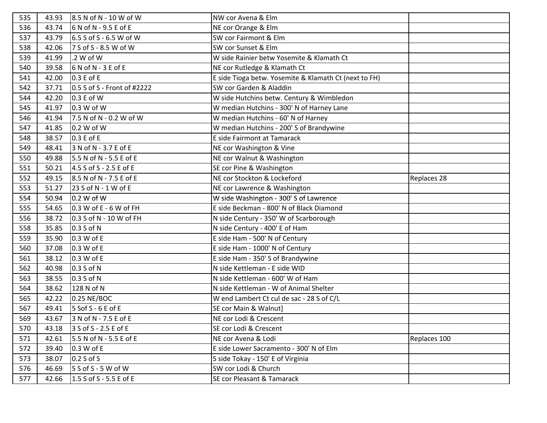| 535 | 43.93 | 8.5 N of N - 10 W of W      | NW cor Avena & Elm                                    |              |
|-----|-------|-----------------------------|-------------------------------------------------------|--------------|
| 536 | 43.74 | 6 N of N - 9.5 E of E       | NE cor Orange & Elm                                   |              |
| 537 | 43.79 | 6.5 S of S - 6.5 W of W     | SW cor Fairmont & Elm                                 |              |
| 538 | 42.06 | 7 S of S - 8.5 W of W       | SW cor Sunset & Elm                                   |              |
| 539 | 41.99 | .2 W of W                   | W side Rainier betw Yosemite & Klamath Ct             |              |
| 540 | 39.58 | $6$ N of N - 3 E of E       | NE cor Rutledge & Klamath Ct                          |              |
| 541 | 42.00 | 0.3 E of E                  | E side Tioga betw. Yosemite & Klamath Ct (next to FH) |              |
| 542 | 37.71 | 0.5 S of S - Front of #2222 | SW cor Garden & Aladdin                               |              |
| 544 | 42.20 | 0.3 E of W                  | W side Hutchins betw. Century & Wimbledon             |              |
| 545 | 41.97 | 0.3 W of W                  | W median Hutchins - 300' N of Harney Lane             |              |
| 546 | 41.94 | 7.5 N of N - 0.2 W of W     | W median Hutchins - 60' N of Harney                   |              |
| 547 | 41.85 | 0.2 W of W                  | W median Hutchins - 200' S of Brandywine              |              |
| 548 | 38.57 | $0.3 E$ of E                | E side Fairmont at Tamarack                           |              |
| 549 | 48.41 | 3 N of N - 3.7 E of E       | NE cor Washington & Vine                              |              |
| 550 | 49.88 | 5.5 N of N - 5.5 E of E     | NE cor Walnut & Washington                            |              |
| 551 | 50.21 | 4.5 S of S - 2.5 E of E     | SE cor Pine & Washington                              |              |
| 552 | 49.15 | 8.5 N of N - 7.5 E of E     | NE cor Stockton & Lockeford                           | Replaces 28  |
| 553 | 51.27 | 23 S of N - 1 W of E        | NE cor Lawrence & Washington                          |              |
| 554 | 50.94 | 0.2 W of W                  | W side Washington - 300' S of Lawrence                |              |
| 555 | 54.65 | 0.3 W of E - 6 W of FH      | E side Beckman - 800' N of Black Diamond              |              |
| 556 | 38.72 | 0.3 S of N - 10 W of FH     | N side Century - 350' W of Scarborough                |              |
| 558 | 35.85 | 0.3 S of N                  | N side Century - 400' E of Ham                        |              |
| 559 | 35.90 | 0.3 W of E                  | E side Ham - 500' N of Century                        |              |
| 560 | 37.08 | 0.3 W of E                  | E side Ham - 1000' N of Century                       |              |
| 561 | 38.12 | 0.3 W of E                  | E side Ham - 350' S of Brandywine                     |              |
| 562 | 40.98 | 0.3 S of N                  | N side Kettleman - E side WID                         |              |
| 563 | 38.55 | 0.3 S of N                  | N side Kettleman - 600' W of Ham                      |              |
| 564 | 38.62 | 128 N of N                  | N side Kettleman - W of Animal Shelter                |              |
| 565 | 42.22 | 0.25 NE/BOC                 | W end Lambert Ct cul de sac - 28 S of C/L             |              |
| 567 | 49.41 | 5 Sof S - 6 E of E          | SE cor Main & Walnut]                                 |              |
| 569 | 43.67 | 3 N of N - 7.5 E of E       | NE cor Lodi & Crescent                                |              |
| 570 | 43.18 | 3 S of S - 2.5 E of E       | SE cor Lodi & Crescent                                |              |
| 571 | 42.61 | 5.5 N of N - 5.5 E of E     | NE cor Avena & Lodi                                   | Replaces 100 |
| 572 | 39.40 | 0.3 W of E                  | E side Lower Sacramento - 300' N of Elm               |              |
| 573 | 38.07 | $0.2$ S of S                | S side Tokay - 150' E of Virginia                     |              |
| 576 | 46.69 | 5 S of S - 5 W of W         | SW cor Lodi & Church                                  |              |
| 577 | 42.66 | 1.5 S of S - 5.5 E of E     | SE cor Pleasant & Tamarack                            |              |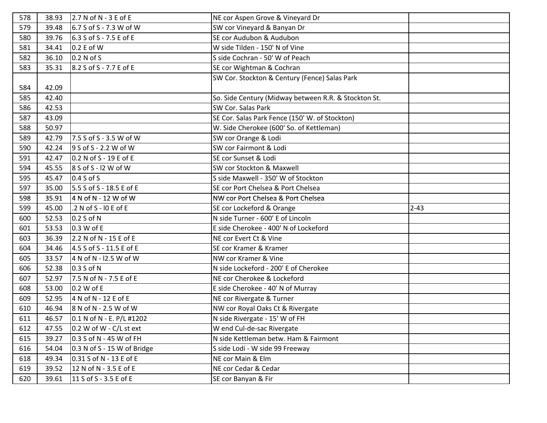| 578 | 38.93 | $2.7 N of N - 3 E of E$     | NE cor Aspen Grove & Vineyard Dr                     |          |
|-----|-------|-----------------------------|------------------------------------------------------|----------|
| 579 | 39.48 | 6.7 S of S - 7.3 W of W     | SW cor Vineyard & Banyan Dr                          |          |
| 580 | 39.76 | 6.3 S of S - 7.5 E of E     | SE cor Audubon & Audubon                             |          |
| 581 | 34.41 | 0.2 E of W                  | W side Tilden - 150' N of Vine                       |          |
| 582 | 36.10 | 0.2 N of S                  | S side Cochran - 50' W of Peach                      |          |
| 583 | 35.31 | 8.2 S of S - 7.7 E of E     | SE cor Wightman & Cochran                            |          |
|     |       |                             | SW Cor. Stockton & Century (Fence) Salas Park        |          |
| 584 | 42.09 |                             |                                                      |          |
| 585 | 42.40 |                             | So. Side Century (Midway between R.R. & Stockton St. |          |
| 586 | 42.53 |                             | SW Cor. Salas Park                                   |          |
| 587 | 43.09 |                             | SE Cor. Salas Park Fence (150' W. of Stockton)       |          |
| 588 | 50.97 |                             | W. Side Cherokee (600' So. of Kettleman)             |          |
| 589 | 42.79 | 7.5 S of S - 3.5 W of W     | SW cor Orange & Lodi                                 |          |
| 590 | 42.24 | 9 S of S - 2.2 W of W       | SW cor Fairmont & Lodi                               |          |
| 591 | 42.47 | $0.2 N of S - 19 E of E$    | SE cor Sunset & Lodi                                 |          |
| 594 | 45.55 | 8 S of S - I2 W of W        | SW cor Stockton & Maxwell                            |          |
| 595 | 45.47 | $0.4 S$ of S                | S side Maxwell - 350' W of Stockton                  |          |
| 597 | 35.00 | 5.5 S of S - 18.5 E of E    | SE cor Port Chelsea & Port Chelsea                   |          |
| 598 | 35.91 | 4 N of N - 12 W of W        | NW cor Port Chelsea & Port Chelsea                   |          |
|     |       |                             |                                                      |          |
| 599 | 45.00 | .2 N of S - IO E of E       | SE cor Lockeford & Orange                            | $2 - 43$ |
| 600 | 52.53 | 0.2 S of N                  | N side Turner - 600' E of Lincoln                    |          |
| 601 | 53.53 | 0.3 W of E                  | E side Cherokee - 400' N of Lockeford                |          |
| 603 | 36.39 | 2.2 N of N - 15 E of E      | NE cor Evert Ct & Vine                               |          |
| 604 | 34.46 | 4.5 S of S - 11.5 E of E    | SE cor Kramer & Kramer                               |          |
| 605 | 33.57 | 4 N of N - I2.5 W of W      | NW cor Kramer & Vine                                 |          |
| 606 | 52.38 | 0.3 S of N                  | N side Lockeford - 200' E of Cherokee                |          |
| 607 | 52.97 | 7.5 N of N - 7.5 E of E     | NE cor Cherokee & Lockeford                          |          |
| 608 | 53.00 | 0.2 W of E                  | E side Cherokee - 40' N of Murray                    |          |
| 609 | 52.95 | 4 N of N - 12 E of E        | NE cor Rivergate & Turner                            |          |
| 610 | 46.94 | 8 N of N - 2.5 W of W       | NW cor Royal Oaks Ct & Rivergate                     |          |
| 611 | 46.57 | 0.1 N of N - E. P/L #1202   | N side Rivergate - 15' W of FH                       |          |
| 612 | 47.55 | 0.2 W of W - C/L st ext     | W end Cul-de-sac Rivergate                           |          |
| 615 | 39.27 | 0.3 S of N - 45 W of FH     | N side Kettleman betw. Ham & Fairmont                |          |
| 616 | 54.04 | 0.3 N of S - 15 W of Bridge | S side Lodi - W side 99 Freeway                      |          |
| 618 | 49.34 | 0.31 S of N - 13 E of E     | NE cor Main & Elm                                    |          |
| 619 | 39.52 | 12 N of N - 3.5 E of E      | NE cor Cedar & Cedar                                 |          |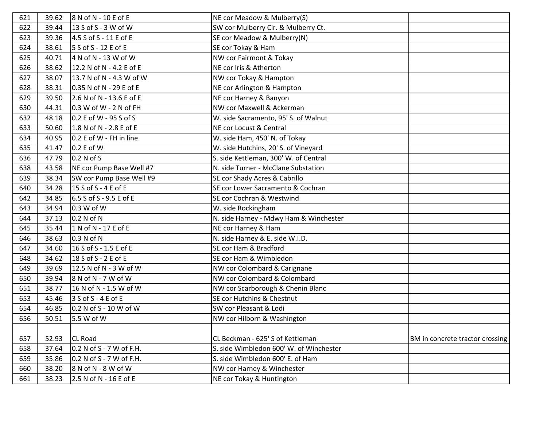| 621 | 39.62 | 8 N of N - 10 E of E      | NE cor Meadow & Mulberry(S)             |                                 |
|-----|-------|---------------------------|-----------------------------------------|---------------------------------|
| 622 | 39.44 | 13 S of S - 3 W of W      | SW cor Mulberry Cir. & Mulberry Ct.     |                                 |
| 623 | 39.36 | 4.5 S of S - 11 E of E    | SE cor Meadow & Mulberry(N)             |                                 |
| 624 | 38.61 | 5 S of S - 12 E of E      | SE cor Tokay & Ham                      |                                 |
| 625 | 40.71 | 4 N of N - 13 W of W      | NW cor Fairmont & Tokay                 |                                 |
| 626 | 38.62 | 12.2 N of N - 4.2 E of E  | NE cor Iris & Atherton                  |                                 |
| 627 | 38.07 | 13.7 N of N - 4.3 W of W  | NW cor Tokay & Hampton                  |                                 |
| 628 | 38.31 | 0.35 N of N - 29 E of E   | NE cor Arlington & Hampton              |                                 |
| 629 | 39.50 | 2.6 N of N - 13.6 E of E  | NE cor Harney & Banyon                  |                                 |
| 630 | 44.31 | $0.3 W$ of W - 2 N of FH  | NW cor Maxwell & Ackerman               |                                 |
| 632 | 48.18 | 0.2 E of W - 95 S of S    | W. side Sacramento, 95' S. of Walnut    |                                 |
| 633 | 50.60 | 1.8 N of N - 2.8 E of E   | NE cor Locust & Central                 |                                 |
| 634 | 40.95 | 0.2 E of W - FH in line   | W. side Ham, 450' N. of Tokay           |                                 |
| 635 | 41.47 | 0.2 E of W                | W. side Hutchins, 20' S. of Vineyard    |                                 |
| 636 | 47.79 | 0.2 N of S                | S. side Kettleman, 300' W. of Central   |                                 |
| 638 | 43.58 | NE cor Pump Base Well #7  | N. side Turner - McClane Substation     |                                 |
| 639 | 38.34 | SW cor Pump Base Well #9  | SE cor Shady Acres & Cabrillo           |                                 |
| 640 | 34.28 | 15 S of S - 4 E of E      | SE cor Lower Sacramento & Cochran       |                                 |
| 642 | 34.85 | $6.5 S$ of S - 9.5 E of E | SE cor Cochran & Westwind               |                                 |
| 643 | 34.94 | 0.3 W of W                | W. side Rockingham                      |                                 |
| 644 | 37.13 | 0.2 N of N                | N. side Harney - Mdwy Ham & Winchester  |                                 |
| 645 | 35.44 | 1 N of N - 17 E of E      | NE cor Harney & Ham                     |                                 |
| 646 | 38.63 | 0.3 N of N                | N. side Harney & E. side W.I.D.         |                                 |
| 647 | 34.60 | 16 S of S - 1.5 E of E    | SE cor Ham & Bradford                   |                                 |
| 648 | 34.62 | 18 S of S - 2 E of E      | SE cor Ham & Wimbledon                  |                                 |
| 649 | 39.69 | 12.5 N of N - 3 W of W    | NW cor Colombard & Carignane            |                                 |
| 650 | 39.94 | $8$ N of N - 7 W of W     | NW cor Colombard & Colombard            |                                 |
| 651 | 38.77 | 16 N of N - 1.5 W of W    | NW cor Scarborough & Chenin Blanc       |                                 |
| 653 | 45.46 | $3 S of S - 4 E of E$     | SE cor Hutchins & Chestnut              |                                 |
| 654 | 46.85 | $0.2 N of S - 10 W of W$  | SW cor Pleasant & Lodi                  |                                 |
| 656 | 50.51 | 5.5 W of W                | NW cor Hilborn & Washington             |                                 |
|     |       |                           |                                         |                                 |
| 657 | 52.93 | <b>CL Road</b>            | CL Beckman - 625' S of Kettleman        | BM in concrete tractor crossing |
| 658 | 37.64 | 0.2 N of S - 7 W of F.H.  | S. side Wimbledon 600' W. of Winchester |                                 |
| 659 | 35.86 | 0.2 N of S - 7 W of F.H.  | S. side Wimbledon 600' E. of Ham        |                                 |
| 660 | 38.20 | $8$ N of N - $8$ W of W   | NW cor Harney & Winchester              |                                 |
| 661 | 38.23 | 2.5 N of N - 16 E of E    | NE cor Tokay & Huntington               |                                 |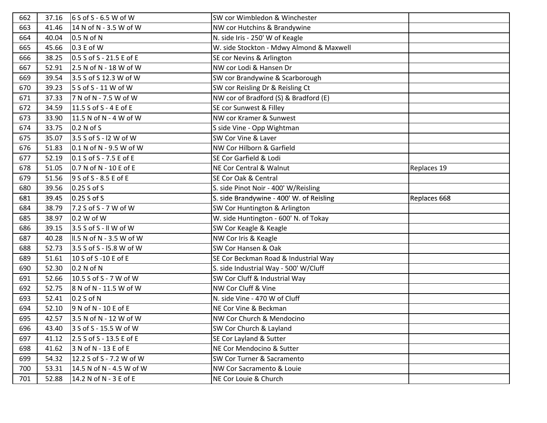| 662 | 37.16 | $6S$ of S - 6.5 W of W    | SW cor Wimbledon & Winchester            |              |
|-----|-------|---------------------------|------------------------------------------|--------------|
| 663 | 41.46 | 14 N of N - 3.5 W of W    | NW cor Hutchins & Brandywine             |              |
| 664 | 40.04 | 0.5 N of N                | N. side Iris - 250' W of Keagle          |              |
| 665 | 45.66 | 0.3 E of W                | W. side Stockton - Mdwy Almond & Maxwell |              |
| 666 | 38.25 | 0.5 S of S - 21.5 E of E  | SE cor Nevins & Arlington                |              |
| 667 | 52.91 | 2.5 N of N - 18 W of W    | NW cor Lodi & Hansen Dr                  |              |
| 669 | 39.54 | 3.5 S of S 12.3 W of W    | SW cor Brandywine & Scarborough          |              |
| 670 | 39.23 | $5 S of S - 11 W of W$    | SW cor Reisling Dr & Reisling Ct         |              |
| 671 | 37.33 | 7 N of N - 7.5 W of W     | NW cor of Bradford (S) & Bradford (E)    |              |
| 672 | 34.59 | 11.5 S of S - 4 E of E    | SE cor Sunwest & Filley                  |              |
| 673 | 33.90 | 11.5 N of N - 4 W of W    | NW cor Kramer & Sunwest                  |              |
| 674 | 33.75 | 0.2 N of S                | S side Vine - Opp Wightman               |              |
| 675 | 35.07 | 3.5 S of S - I2 W of W    | SW Cor Vine & Laver                      |              |
| 676 | 51.83 | 0.1 N of N - 9.5 W of W   | NW Cor Hilborn & Garfield                |              |
| 677 | 52.19 | $0.1$ S of S - 7.5 E of E | SE Cor Garfield & Lodi                   |              |
| 678 | 51.05 | 0.7 N of N - 10 E of E    | NE Cor Central & Walnut                  | Replaces 19  |
| 679 | 51.56 | $9$ S of S - 8.5 E of E   | SE Cor Oak & Central                     |              |
| 680 | 39.56 | 0.25 S of S               | S. side Pinot Noir - 400' W/Reisling     |              |
| 681 | 39.45 | 0.25 S of S               | S. side Brandywine - 400' W. of Reisling | Replaces 668 |
| 684 | 38.79 | 7.2 S of S - 7 W of W     | SW Cor Huntington & Arlington            |              |
| 685 | 38.97 | 0.2 W of W                | W. side Huntington - 600' N. of Tokay    |              |
| 686 | 39.15 | 3.5 S of S - II W of W    | SW Cor Keagle & Keagle                   |              |
| 687 | 40.28 | II.5 N of N - 3.5 W of W  | NW Cor Iris & Keagle                     |              |
| 688 | 52.73 | 3.5 S of S - I5.8 W of W  | SW Cor Hansen & Oak                      |              |
| 689 | 51.61 | 10 S of S -10 E of E      | SE Cor Beckman Road & Industrial Way     |              |
| 690 | 52.30 | 0.2 N of N                | S. side Industrial Way - 500' W/Cluff    |              |
| 691 | 52.66 | 10.5 S of S - 7 W of W    | SW Cor Cluff & Industrial Way            |              |
| 692 | 52.75 | 8 N of N - 11.5 W of W    | NW Cor Cluff & Vine                      |              |
| 693 | 52.41 | 0.2 S of N                | N. side Vine - 470 W of Cluff            |              |
| 694 | 52.10 | 9 N of N - 10 E of E      | NE Cor Vine & Beckman                    |              |
| 695 | 42.57 | 3.5 N of N - 12 W of W    | NW Cor Church & Mendocino                |              |
| 696 | 43.40 | 3 S of S - 15.5 W of W    | SW Cor Church & Layland                  |              |
| 697 | 41.12 | 2.5 S of S - 13.5 E of E  | SE Cor Layland & Sutter                  |              |
| 698 | 41.62 | 3 N of N - 13 E of E      | NE Cor Mendocino & Sutter                |              |
| 699 | 54.32 | 12.2 S of S - 7.2 W of W  | SW Cor Turner & Sacramento               |              |
| 700 | 53.31 | 14.5 N of N - 4.5 W of W  | NW Cor Sacramento & Louie                |              |
| 701 | 52.88 | 14.2 N of N - 3 E of E    | NE Cor Louie & Church                    |              |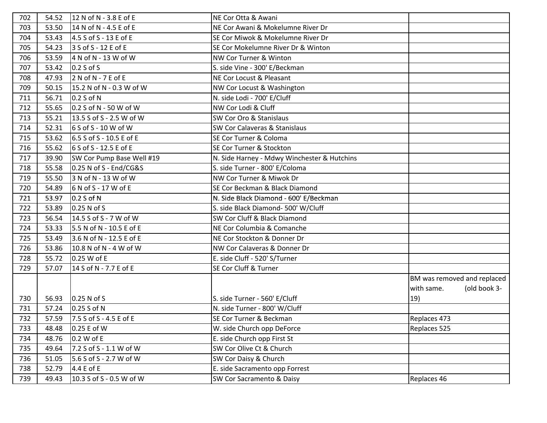| 702 | 54.52 | 12 N of N - 3.8 E of E    | NE Cor Otta & Awani                         |                             |
|-----|-------|---------------------------|---------------------------------------------|-----------------------------|
| 703 | 53.50 | 14 N of N - 4.5 E of E    | NE Cor Awani & Mokelumne River Dr           |                             |
| 704 | 53.43 | 4.5 S of S - 13 E of E    | SE Cor Miwok & Mokelumne River Dr           |                             |
| 705 | 54.23 | 3 S of S - 12 E of E      | SE Cor Mokelumne River Dr & Winton          |                             |
| 706 | 53.59 | 4 N of N - 13 W of W      | NW Cor Turner & Winton                      |                             |
| 707 | 53.42 | $0.2 S$ of S              | S. side Vine - 300' E/Beckman               |                             |
| 708 | 47.93 | $2$ N of N - 7 E of E     | NE Cor Locust & Pleasant                    |                             |
| 709 | 50.15 | 15.2 N of N - 0.3 W of W  | NW Cor Locust & Washington                  |                             |
| 711 | 56.71 | 0.2 S of N                | N. side Lodi - 700' E/Cluff                 |                             |
| 712 | 55.65 | $0.2$ S of N - 50 W of W  | NW Cor Lodi & Cluff                         |                             |
| 713 | 55.21 | 13.5 S of S - 2.5 W of W  | SW Cor Oro & Stanislaus                     |                             |
| 714 | 52.31 | $6S$ of S - 10 W of W     | <b>SW Cor Calaveras &amp; Stanislaus</b>    |                             |
| 715 | 53.62 | 6.5 S of S - 10.5 E of E  | SE Cor Turner & Coloma                      |                             |
| 716 | 55.62 | 6 S of S - 12.5 E of E    | SE Cor Turner & Stockton                    |                             |
| 717 | 39.90 | SW Cor Pump Base Well #19 | N. Side Harney - Mdwy Winchester & Hutchins |                             |
| 718 | 55.58 | 0.25 N of S - End/CG&S    | S. side Turner - 800' E/Coloma              |                             |
| 719 | 55.50 | 3 N of N - 13 W of W      | NW Cor Turner & Miwok Dr                    |                             |
| 720 | 54.89 | 6 N of S - 17 W of E      | SE Cor Beckman & Black Diamond              |                             |
| 721 | 53.97 | 0.2 S of N                | N. Side Black Diamond - 600' E/Beckman      |                             |
| 722 | 53.89 | 0.25 N of S               | S. side Black Diamond- 500' W/Cluff         |                             |
| 723 | 56.54 | 14.5 S of S - 7 W of W    | SW Cor Cluff & Black Diamond                |                             |
| 724 | 53.33 | 5.5 N of N - 10.5 E of E  | NE Cor Columbia & Comanche                  |                             |
| 725 | 53.49 | 3.6 N of N - 12.5 E of E  | NE Cor Stockton & Donner Dr                 |                             |
| 726 | 53.86 | 10.8 N of N - 4 W of W    | NW Cor Calaveras & Donner Dr                |                             |
| 728 | 55.72 | 0.25 W of E               | E. side Cluff - 520' S/Turner               |                             |
| 729 | 57.07 | 14 S of N - 7.7 E of E    | SE Cor Cluff & Turner                       |                             |
|     |       |                           |                                             | BM was removed and replaced |
|     |       |                           |                                             | (old book 3-<br>with same.  |
| 730 | 56.93 | $0.25$ N of S             | S. side Turner - 560' E/Cluff               | 19)                         |
| 731 | 57.24 | $0.25 S$ of N             | N. side Turner - 800' W/Cluff               |                             |
| 732 | 57.59 | 7.5 S of S - 4.5 E of E   | SE Cor Turner & Beckman                     | Replaces 473                |
| 733 | 48.48 | 0.25 E of W               | W. side Church opp DeForce                  | Replaces 525                |
| 734 | 48.76 | 0.2 W of E                | E. side Church opp First St                 |                             |
| 735 | 49.64 | 7.2 S of S - 1.1 W of W   | SW Cor Olive Ct & Church                    |                             |
| 736 | 51.05 | 5.6 S of S - 2.7 W of W   | SW Cor Daisy & Church                       |                             |
| 738 | 52.79 | 4.4 E of E                | E. side Sacramento opp Forrest              |                             |
| 739 | 49.43 | 10.3 S of S - 0.5 W of W  | SW Cor Sacramento & Daisy                   | Replaces 46                 |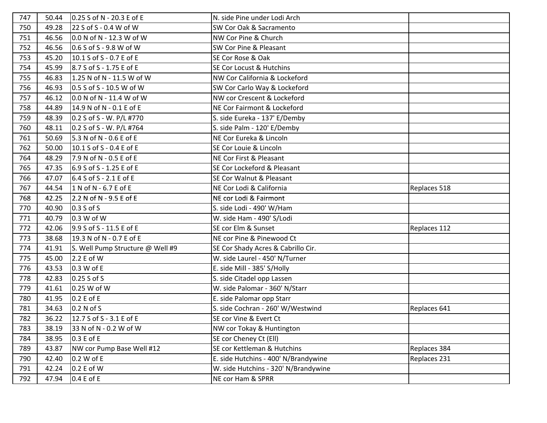| 747 | 50.44 | 0.25 S of N - 20.3 E of E        | N. side Pine under Lodi Arch         |              |
|-----|-------|----------------------------------|--------------------------------------|--------------|
| 750 | 49.28 | 22 S of S - 0.4 W of W           | SW Cor Oak & Sacramento              |              |
| 751 | 46.56 | 0.0 N of N - 12.3 W of W         | NW Cor Pine & Church                 |              |
| 752 | 46.56 | 0.6 S of S - 9.8 W of W          | SW Cor Pine & Pleasant               |              |
| 753 | 45.20 | 10.1 S of S - 0.7 E of E         | SE Cor Rose & Oak                    |              |
| 754 | 45.99 | 8.7 S of S - 1.75 E of E         | SE Cor Locust & Hutchins             |              |
| 755 | 46.83 | 1.25 N of N - 11.5 W of W        | NW Cor California & Lockeford        |              |
| 756 | 46.93 | 0.5 S of S - 10.5 W of W         | SW Cor Carlo Way & Lockeford         |              |
| 757 | 46.12 | 0.0 N of N - 11.4 W of W         | NW cor Crescent & Lockeford          |              |
| 758 | 44.89 | 14.9 N of N - 0.1 E of E         | NE Cor Fairmont & Lockeford          |              |
| 759 | 48.39 | 0.2 S of S - W. P/L #770         | S. side Eureka - 137' E/Demby        |              |
| 760 | 48.11 | 0.2 S of S - W. P/L #764         | S. side Palm - 120' E/Demby          |              |
| 761 | 50.69 | 5.3 N of N - 0.6 E of E          | NE Cor Eureka & Lincoln              |              |
| 762 | 50.00 | 10.1 S of S - 0.4 E of E         | SE Cor Louie & Lincoln               |              |
| 764 | 48.29 | 7.9 N of N - 0.5 E of E          | NE Cor First & Pleasant              |              |
| 765 | 47.35 | 6.9 S of S - 1.25 E of E         | SE Cor Lockeford & Pleasant          |              |
| 766 | 47.07 | 6.4 S of S - 2.1 E of E          | SE Cor Walnut & Pleasant             |              |
| 767 | 44.54 | 1 N of N - 6.7 E of E            | NE Cor Lodi & California             | Replaces 518 |
| 768 | 42.25 | 2.2 N of N - 9.5 E of E          | NE cor Lodi & Fairmont               |              |
| 770 | 40.90 | 0.3 S of S                       | S. side Lodi - 490' W/Ham            |              |
| 771 | 40.79 | 0.3 W of W                       | W. side Ham - 490' S/Lodi            |              |
| 772 | 42.06 | 9.9 S of S - 11.5 E of E         | SE cor Elm & Sunset                  | Replaces 112 |
| 773 | 38.68 | 19.3 N of N - 0.7 E of E         | NE cor Pine & Pinewood Ct            |              |
| 774 | 41.91 | S. Well Pump Structure @ Well #9 | SE Cor Shady Acres & Cabrillo Cir.   |              |
| 775 | 45.00 | 2.2 E of W                       | W. side Laurel - 450' N/Turner       |              |
| 776 | 43.53 | 0.3 W of E                       | E. side Mill - 385' S/Holly          |              |
| 778 | 42.83 | 0.25 S of S                      | S. side Citadel opp Lassen           |              |
| 779 | 41.61 | 0.25 W of W                      | W. side Palomar - 360' N/Starr       |              |
| 780 | 41.95 | 0.2 E of E                       | E. side Palomar opp Starr            |              |
| 781 | 34.63 | 0.2 N of S                       | S. side Cochran - 260' W/Westwind    | Replaces 641 |
| 782 | 36.22 | 12.7 S of S - 3.1 E of E         | SE cor Vine & Evert Ct               |              |
| 783 | 38.19 | 33 N of N - 0.2 W of W           | NW cor Tokay & Huntington            |              |
| 784 | 38.95 | 0.3 E of E                       | SE cor Cheney Ct (Ell)               |              |
| 789 | 43.87 | NW cor Pump Base Well #12        | SE cor Kettleman & Hutchins          | Replaces 384 |
| 790 | 42.40 | 0.2 W of E                       | E. side Hutchins - 400' N/Brandywine | Replaces 231 |
| 791 | 42.24 | 0.2 E of W                       | W. side Hutchins - 320' N/Brandywine |              |
| 792 | 47.94 | 0.4 E of E                       | NE cor Ham & SPRR                    |              |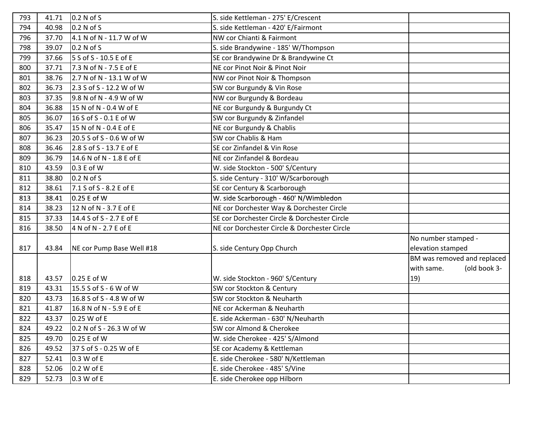| 793 | 41.71 | 0.2 N of S                | S. side Kettleman - 275' E/Crescent          |                             |
|-----|-------|---------------------------|----------------------------------------------|-----------------------------|
| 794 | 40.98 | 0.2 N of S                | S. side Kettleman - 420' E/Fairmont          |                             |
| 796 | 37.70 | 4.1 N of N - 11.7 W of W  | NW cor Chianti & Fairmont                    |                             |
| 798 | 39.07 | 0.2 N of S                | S. side Brandywine - 185' W/Thompson         |                             |
| 799 | 37.66 | 5 S of S - 10.5 E of E    | SE cor Brandywine Dr & Brandywine Ct         |                             |
| 800 | 37.71 | 7.3 N of N - 7.5 E of E   | NE cor Pinot Noir & Pinot Noir               |                             |
| 801 | 38.76 | 2.7 N of N - 13.1 W of W  | NW cor Pinot Noir & Thompson                 |                             |
| 802 | 36.73 | 2.3 S of S - 12.2 W of W  | SW cor Burgundy & Vin Rose                   |                             |
| 803 | 37.35 | 9.8 N of N - 4.9 W of W   | NW cor Burgundy & Bordeau                    |                             |
| 804 | 36.88 | 15 N of N - 0.4 W of E    | NE cor Burgundy & Burgundy Ct                |                             |
| 805 | 36.07 | 16 S of S - 0.1 E of W    | SW cor Burgundy & Zinfandel                  |                             |
| 806 | 35.47 | 15 N of N - 0.4 E of E    | NE cor Burgundy & Chablis                    |                             |
| 807 | 36.23 | 20.5 S of S - 0.6 W of W  | SW cor Chablis & Ham                         |                             |
| 808 | 36.46 | 2.8 S of S - 13.7 E of E  | SE cor Zinfandel & Vin Rose                  |                             |
| 809 | 36.79 | 14.6 N of N - 1.8 E of E  | NE cor Zinfandel & Bordeau                   |                             |
| 810 | 43.59 | 0.3 E of W                | W. side Stockton - 500' S/Century            |                             |
| 811 | 38.80 | 0.2 N of S                | S. side Century - 310' W/Scarborough         |                             |
| 812 | 38.61 | 7.1 S of S - 8.2 E of E   | SE cor Century & Scarborough                 |                             |
| 813 | 38.41 | 0.25 E of W               | W. side Scarborough - 460' N/Wimbledon       |                             |
| 814 | 38.23 | 12 N of N - 3.7 E of E    | NE cor Dorchester Way & Dorchester Circle    |                             |
| 815 | 37.33 | 14.4 S of S - 2.7 E of E  | SE cor Dorchester Circle & Dorchester Circle |                             |
| 816 | 38.50 | 4 N of N - 2.7 E of E     | NE cor Dorchester Circle & Dorchester Circle |                             |
|     |       |                           |                                              | No number stamped -         |
| 817 | 43.84 | NE cor Pump Base Well #18 | S. side Century Opp Church                   | elevation stamped           |
|     |       |                           |                                              | BM was removed and replaced |
|     |       |                           |                                              | with same.<br>(old book 3-  |
| 818 | 43.57 | 0.25 E of W               | W. side Stockton - 960' S/Century            | 19)                         |
| 819 | 43.31 | 15.5 S of S - 6 W of W    | SW cor Stockton & Century                    |                             |
| 820 | 43.73 | 16.8 S of S - 4.8 W of W  | SW cor Stockton & Neuharth                   |                             |
| 821 | 41.87 | 16.8 N of N - 5.9 E of E  | NE cor Ackerman & Neuharth                   |                             |
| 822 | 43.37 | 0.25 W of E               | E. side Ackerman - 630' N/Neuharth           |                             |
| 824 | 49.22 | 0.2 N of S - 26.3 W of W  | SW cor Almond & Cherokee                     |                             |
| 825 | 49.70 | 0.25 E of W               | W. side Cherokee - 425' S/Almond             |                             |
| 826 | 49.52 | 37 S of S - 0.25 W of E   | SE cor Academy & Kettleman                   |                             |
| 827 | 52.41 | 0.3 W of E                | E. side Cherokee - 580' N/Kettleman          |                             |
| 828 | 52.06 | 0.2 W of E                | E. side Cherokee - 485' S/Vine               |                             |
| 829 | 52.73 | 0.3 W of E                | E. side Cherokee opp Hilborn                 |                             |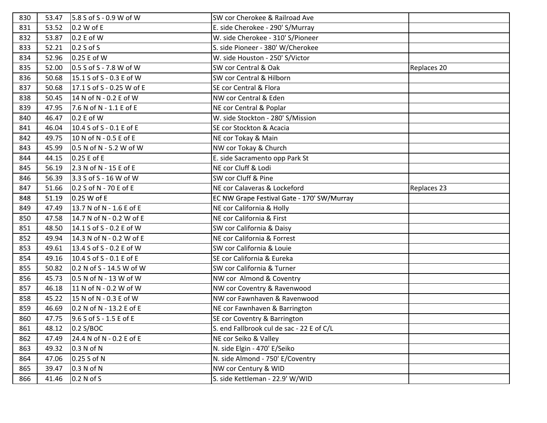| 830 | 53.47 | 5.8 S of S - 0.9 W of W    | SW cor Cherokee & Railroad Ave             |             |
|-----|-------|----------------------------|--------------------------------------------|-------------|
| 831 | 53.52 | 0.2 W of E                 | E. side Cherokee - 290' S/Murray           |             |
| 832 | 53.87 | 0.2 E of W                 | W. side Cherokee - 310' S/Pioneer          |             |
| 833 | 52.21 | $0.2 S$ of S               | S. side Pioneer - 380' W/Cherokee          |             |
| 834 | 52.96 | 0.25 E of W                | W. side Houston - 250' S/Victor            |             |
| 835 | 52.00 | $0.5 S of S - 7.8 W of W$  | SW cor Central & Oak                       | Replaces 20 |
| 836 | 50.68 | 15.1 S of S - 0.3 E of W   | SW cor Central & Hilborn                   |             |
| 837 | 50.68 | 17.1 S of S - 0.25 W of E  | SE cor Central & Flora                     |             |
| 838 | 50.45 | 14 N of N - 0.2 E of W     | NW cor Central & Eden                      |             |
| 839 | 47.95 | 7.6 N of N - 1.1 E of E    | NE cor Central & Poplar                    |             |
| 840 | 46.47 | 0.2 E of W                 | W. side Stockton - 280' S/Mission          |             |
| 841 | 46.04 | 10.4 S of S - 0.1 E of E   | SE cor Stockton & Acacia                   |             |
| 842 | 49.75 | 10 N of N - 0.5 E of E     | NE cor Tokay & Main                        |             |
| 843 | 45.99 | $0.5$ N of N - 5.2 W of W  | NW cor Tokay & Church                      |             |
| 844 | 44.15 | 0.25 E of E                | E. side Sacramento opp Park St             |             |
| 845 | 56.19 | 2.3 N of N - 15 E of E     | NE cor Cluff & Lodi                        |             |
| 846 | 56.39 | 3.3 S of S - 16 W of W     | SW cor Cluff & Pine                        |             |
| 847 | 51.66 | 0.2 S of N - 70 E of E     | NE cor Calaveras & Lockeford               | Replaces 23 |
| 848 | 51.19 | $0.25$ W of E              | EC NW Grape Festival Gate - 170' SW/Murray |             |
| 849 | 47.49 | 13.7 N of N - 1.6 E of E   | NE cor California & Holly                  |             |
| 850 | 47.58 | 14.7 N of N - 0.2 W of E   | NE cor California & First                  |             |
| 851 | 48.50 | 14.1 S of S - 0.2 E of W   | SW cor California & Daisy                  |             |
| 852 | 49.94 | 14.3 N of N - 0.2 W of E   | NE cor California & Forrest                |             |
| 853 | 49.61 | 13.4 S of S - 0.2 E of W   | SW cor California & Louie                  |             |
| 854 | 49.16 | 10.4 S of S - 0.1 E of E   | SE cor California & Eureka                 |             |
| 855 | 50.82 | $0.2 N of S - 14.5 W of W$ | SW cor California & Turner                 |             |
| 856 | 45.73 | $0.5$ N of N - 13 W of W   | NW cor Almond & Coventry                   |             |
| 857 | 46.18 | 11 N of N - 0.2 W of W     | NW cor Coventry & Ravenwood                |             |
| 858 | 45.22 | 15 N of N - 0.3 E of W     | NW cor Fawnhaven & Ravenwood               |             |
| 859 | 46.69 | 0.2 N of N - 13.2 E of E   | NE cor Fawnhaven & Barrington              |             |
| 860 | 47.75 | 9.6 S of S - 1.5 E of E    | SE cor Coventry & Barrington               |             |
| 861 | 48.12 | 0.2 S/BOC                  | S. end Fallbrook cul de sac - 22 E of C/L  |             |
| 862 | 47.49 | 24.4 N of N - 0.2 E of E   | NE cor Seiko & Valley                      |             |
| 863 | 49.32 | 0.3 N of N                 | N. side Elgin - 470' E/Seiko               |             |
| 864 | 47.06 | 0.25 S of N                | N. side Almond - 750' E/Coventry           |             |
| 865 | 39.47 | 0.3 N of N                 | NW cor Century & WID                       |             |
| 866 | 41.46 | 0.2 N of S                 | S. side Kettleman - 22.9' W/WID            |             |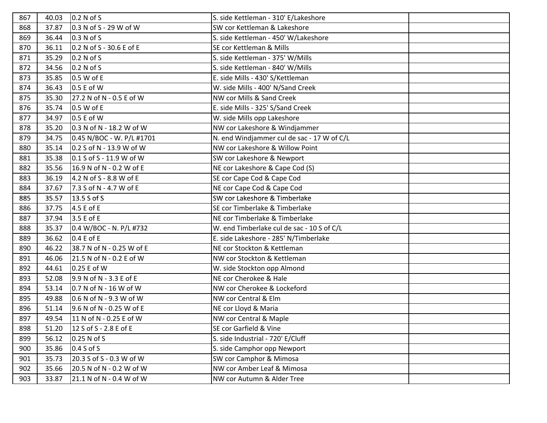| 867 | 40.03 | 0.2 N of S                | S. side Kettleman - 310' E/Lakeshore       |  |
|-----|-------|---------------------------|--------------------------------------------|--|
| 868 | 37.87 | 0.3 N of S - 29 W of W    | SW cor Kettleman & Lakeshore               |  |
| 869 | 36.44 | 0.3 N of S                | S. side Kettleman - 450' W/Lakeshore       |  |
| 870 | 36.11 | 0.2 N of S - 30.6 E of E  | SE cor Kettleman & Mills                   |  |
| 871 | 35.29 | 0.2 N of S                | S. side Kettleman - 375' W/Mills           |  |
| 872 | 34.56 | 0.2 N of S                | S. side Kettleman - 840' W/Mills           |  |
| 873 | 35.85 | 0.5 W of E                | E. side Mills - 430' S/Kettleman           |  |
| 874 | 36.43 | 0.5 E of W                | W. side Mills - 400' N/Sand Creek          |  |
| 875 | 35.30 | 27.2 N of N - 0.5 E of W  | NW cor Mills & Sand Creek                  |  |
| 876 | 35.74 | 0.5 W of E                | E. side Mills - 325' S/Sand Creek          |  |
| 877 | 34.97 | 0.5 E of W                | W. side Mills opp Lakeshore                |  |
| 878 | 35.20 | 0.3 N of N - 18.2 W of W  | NW cor Lakeshore & Windjammer              |  |
| 879 | 34.75 | 0.45 N/BOC - W. P/L #1701 | N. end Windjammer cul de sac - 17 W of C/L |  |
| 880 | 35.14 | 0.2 S of N - 13.9 W of W  | NW cor Lakeshore & Willow Point            |  |
| 881 | 35.38 | 0.1 S of S - 11.9 W of W  | SW cor Lakeshore & Newport                 |  |
| 882 | 35.56 | 16.9 N of N - 0.2 W of E  | NE cor Lakeshore & Cape Cod (S)            |  |
| 883 | 36.19 | 4.2 N of S - 8.8 W of E   | SE cor Cape Cod & Cape Cod                 |  |
| 884 | 37.67 | 7.3 S of N - 4.7 W of E   | NE cor Cape Cod & Cape Cod                 |  |
| 885 | 35.57 | 13.5 S of S               | SW cor Lakeshore & Timberlake              |  |
| 886 | 37.75 | 4.5 E of E                | SE cor Timberlake & Timberlake             |  |
| 887 | 37.94 | 3.5 E of E                | NE cor Timberlake & Timberlake             |  |
| 888 | 35.37 | 0.4 W/BOC - N. P/L #732   | W. end Timberlake cul de sac - 10 S of C/L |  |
| 889 | 36.62 | 0.4 E of E                | E. side Lakeshore - 285' N/Timberlake      |  |
| 890 | 46.22 | 38.7 N of N - 0.25 W of E | NE cor Stockton & Kettleman                |  |
| 891 | 46.06 | 21.5 N of N - 0.2 E of W  | NW cor Stockton & Kettleman                |  |
| 892 | 44.61 | 0.25 E of W               | W. side Stockton opp Almond                |  |
| 893 | 52.08 | 9.9 N of N - 3.3 E of E   | NE cor Cherokee & Hale                     |  |
| 894 | 53.14 | 0.7 N of N - 16 W of W    | NW cor Cherokee & Lockeford                |  |
| 895 | 49.88 | 0.6 N of N - 9.3 W of W   | NW cor Central & Elm                       |  |
| 896 | 51.14 | 9.6 N of N - 0.25 W of E  | NE cor Lloyd & Maria                       |  |
| 897 | 49.54 | 11 N of N - 0.25 E of W   | NW cor Central & Maple                     |  |
| 898 | 51.20 | 12 S of S - 2.8 E of E    | SE cor Garfield & Vine                     |  |
| 899 | 56.12 | 0.25 N of S               | S. side Industrial - 720' E/Cluff          |  |
| 900 | 35.86 | 0.4 S of S                | S. side Camphor opp Newport                |  |
| 901 | 35.73 | 20.3 S of S - 0.3 W of W  | SW cor Camphor & Mimosa                    |  |
| 902 | 35.66 | 20.5 N of N - 0.2 W of W  | NW cor Amber Leaf & Mimosa                 |  |
| 903 | 33.87 | 21.1 N of N - 0.4 W of W  | NW cor Autumn & Alder Tree                 |  |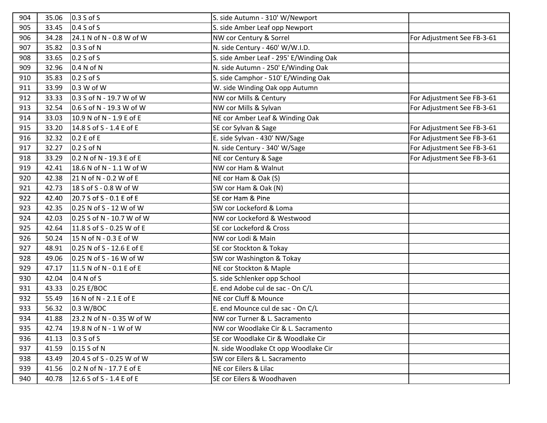| 904 | 35.06 | $0.3 S$ of S              | S. side Autumn - 310' W/Newport         |                            |
|-----|-------|---------------------------|-----------------------------------------|----------------------------|
| 905 | 33.45 | 0.4 S of S                | S. side Amber Leaf opp Newport          |                            |
| 906 | 34.28 | 24.1 N of N - 0.8 W of W  | NW cor Century & Sorrel                 | For Adjustment See FB-3-61 |
| 907 | 35.82 | 0.3 S of N                | N. side Century - 460' W/W.I.D.         |                            |
| 908 | 33.65 | $0.2 S$ of S              | S. side Amber Leaf - 295' E/Winding Oak |                            |
| 909 | 32.96 | 0.4 N of N                | N. side Autumn - 250' E/Winding Oak     |                            |
| 910 | 35.83 | 0.2 S of S                | S. side Camphor - 510' E/Winding Oak    |                            |
| 911 | 33.99 | 0.3 W of W                | W. side Winding Oak opp Autumn          |                            |
| 912 | 33.33 | 0.3 S of N - 19.7 W of W  | NW cor Mills & Century                  | For Adjustment See FB-3-61 |
| 913 | 32.54 | 0.6 S of N - 19.3 W of W  | NW cor Mills & Sylvan                   | For Adjustment See FB-3-61 |
| 914 | 33.03 | 10.9 N of N - 1.9 E of E  | NE cor Amber Leaf & Winding Oak         |                            |
| 915 | 33.20 | 14.8 S of S - 1.4 E of E  | SE cor Sylvan & Sage                    | For Adjustment See FB-3-61 |
| 916 | 32.32 | 0.2 E of E                | E. side Sylvan - 430' NW/Sage           | For Adjustment See FB-3-61 |
| 917 | 32.27 | 0.2 S of N                | N. side Century - 340' W/Sage           | For Adjustment See FB-3-61 |
| 918 | 33.29 | 0.2 N of N - 19.3 E of E  | NE cor Century & Sage                   | For Adjustment See FB-3-61 |
| 919 | 42.41 | 18.6 N of N - 1.1 W of W  | NW cor Ham & Walnut                     |                            |
| 920 | 42.38 | 21 N of N - 0.2 W of E    | NE cor Ham & Oak (S)                    |                            |
| 921 | 42.73 | 18 S of S - 0.8 W of W    | SW cor Ham & Oak (N)                    |                            |
| 922 | 42.40 | 20.7 S of S - 0.1 E of E  | SE cor Ham & Pine                       |                            |
| 923 | 42.35 | 0.25 N of S - 12 W of W   | SW cor Lockeford & Loma                 |                            |
| 924 | 42.03 | 0.25 S of N - 10.7 W of W | NW cor Lockeford & Westwood             |                            |
| 925 | 42.64 | 11.8 S of S - 0.25 W of E | SE cor Lockeford & Cross                |                            |
| 926 | 50.24 | 15 N of N - 0.3 E of W    | NW cor Lodi & Main                      |                            |
| 927 | 48.91 | 0.25 N of S - 12.6 E of E | SE cor Stockton & Tokay                 |                            |
| 928 | 49.06 | $0.25$ N of S - 16 W of W | SW cor Washington & Tokay               |                            |
| 929 | 47.17 | 11.5 N of N - 0.1 E of E  | NE cor Stockton & Maple                 |                            |
| 930 | 42.04 | 0.4 N of S                | S. side Schlenker opp School            |                            |
| 931 | 43.33 | 0.25 E/BOC                | E. end Adobe cul de sac - On C/L        |                            |
| 932 | 55.49 | 16 N of N - 2.1 E of E    | NE cor Cluff & Mounce                   |                            |
| 933 | 56.32 | 0.3 W/BOC                 | E. end Mounce cul de sac - On C/L       |                            |
| 934 | 41.88 | 23.2 N of N - 0.35 W of W | NW cor Turner & L. Sacramento           |                            |
| 935 | 42.74 | 19.8 N of N - 1 W of W    | NW cor Woodlake Cir & L. Sacramento     |                            |
| 936 | 41.13 | 0.3 S of S                | SE cor Woodlake Cir & Woodlake Cir      |                            |
| 937 | 41.59 | $0.15$ S of N             | N. side Woodlake Ct opp Woodlake Cir    |                            |
| 938 | 43.49 | 20.4 S of S - 0.25 W of W | SW cor Eilers & L. Sacramento           |                            |
| 939 | 41.56 | 0.2 N of N - 17.7 E of E  | NE cor Eilers & Lilac                   |                            |
| 940 | 40.78 | 12.6 S of S - 1.4 E of E  | SE cor Eilers & Woodhaven               |                            |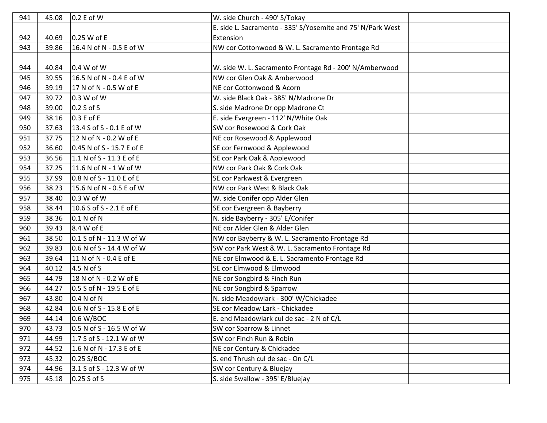| 941 | 45.08 | 0.2 E of W                 | W. side Church - 490' S/Tokay                               |  |
|-----|-------|----------------------------|-------------------------------------------------------------|--|
|     |       |                            | E. side L. Sacramento - 335' S/Yosemite and 75' N/Park West |  |
| 942 | 40.69 | 0.25 W of E                | Extension                                                   |  |
| 943 | 39.86 | 16.4 N of N - 0.5 E of W   | NW cor Cottonwood & W. L. Sacramento Frontage Rd            |  |
|     |       |                            |                                                             |  |
| 944 | 40.84 | 0.4 W of W                 | W. side W. L. Sacramento Frontage Rd - 200' N/Amberwood     |  |
| 945 | 39.55 | 16.5 N of N - 0.4 E of W   | NW cor Glen Oak & Amberwood                                 |  |
| 946 | 39.19 | 17 N of N - 0.5 W of E     | NE cor Cottonwood & Acorn                                   |  |
| 947 | 39.72 | 0.3 W of W                 | W. side Black Oak - 385' N/Madrone Dr                       |  |
| 948 | 39.00 | $0.2 S$ of S               | S. side Madrone Dr opp Madrone Ct                           |  |
| 949 | 38.16 | 0.3 E of E                 | E. side Evergreen - 112' N/White Oak                        |  |
| 950 | 37.63 | 13.4 S of S - 0.1 E of W   | SW cor Rosewood & Cork Oak                                  |  |
| 951 | 37.75 | 12 N of N - 0.2 W of E     | NE cor Rosewood & Applewood                                 |  |
| 952 | 36.60 | 0.45 N of S - 15.7 E of E  | SE cor Fernwood & Applewood                                 |  |
| 953 | 36.56 | 1.1 N of S - 11.3 E of E   | SE cor Park Oak & Applewood                                 |  |
| 954 | 37.25 | 11.6 N of N - 1 W of W     | NW cor Park Oak & Cork Oak                                  |  |
| 955 | 37.99 | 0.8 N of S - 11.0 E of E   | SE cor Parkwest & Evergreen                                 |  |
| 956 | 38.23 | 15.6 N of N - 0.5 E of W   | NW cor Park West & Black Oak                                |  |
| 957 | 38.40 | 0.3 W of W                 | W. side Conifer opp Alder Glen                              |  |
| 958 | 38.44 | 10.6 S of S - 2.1 E of E   | SE cor Evergreen & Bayberry                                 |  |
| 959 | 38.36 | 0.1 N of N                 | N. side Bayberry - 305' E/Conifer                           |  |
| 960 | 39.43 | 8.4 W of E                 | NE cor Alder Glen & Alder Glen                              |  |
| 961 | 38.50 | $0.1$ S of N - 11.3 W of W | NW cor Bayberry & W. L. Sacramento Frontage Rd              |  |
| 962 | 39.83 | $0.6 N of S - 14.4 W of W$ | SW cor Park West & W. L. Sacramento Frontage Rd             |  |
| 963 | 39.64 | 11 N of N - 0.4 E of E     | NE cor Elmwood & E. L. Sacramento Frontage Rd               |  |
| 964 | 40.12 | 4.5 N of S                 | SE cor Elmwood & Elmwood                                    |  |
| 965 | 44.79 | 18 N of N - 0.2 W of E     | NE cor Songbird & Finch Run                                 |  |
| 966 | 44.27 | 0.5 S of N - 19.5 E of E   | NE cor Songbird & Sparrow                                   |  |
| 967 | 43.80 | 0.4 N of N                 | N. side Meadowlark - 300' W/Chickadee                       |  |
| 968 | 42.84 | 0.6 N of S - 15.8 E of E   | SE cor Meadow Lark - Chickadee                              |  |
| 969 | 44.14 | 0.6 W/BOC                  | E. end Meadowlark cul de sac - 2 N of C/L                   |  |
| 970 | 43.73 | $0.5 N of S - 16.5 W of W$ | SW cor Sparrow & Linnet                                     |  |
| 971 | 44.99 | 1.7 S of S - 12.1 W of W   | SW cor Finch Run & Robin                                    |  |
| 972 | 44.52 | 1.6 N of N - 17.3 E of E   | NE cor Century & Chickadee                                  |  |
| 973 | 45.32 | 0.25 S/BOC                 | S. end Thrush cul de sac - On C/L                           |  |
| 974 | 44.96 | 3.1 S of S - 12.3 W of W   | SW cor Century & Bluejay                                    |  |
| 975 | 45.18 | 0.25 S of S                | S. side Swallow - 395' E/Bluejay                            |  |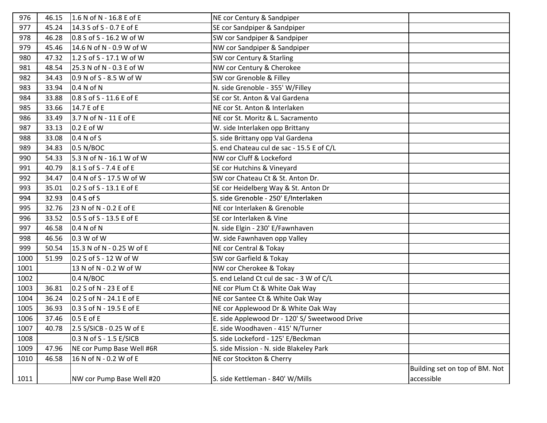| 976  | 46.15 | 1.6 N of N - 16.8 E of E  | NE cor Century & Sandpiper                     |                                |
|------|-------|---------------------------|------------------------------------------------|--------------------------------|
| 977  | 45.24 | 14.3 S of S - 0.7 E of E  | SE cor Sandpiper & Sandpiper                   |                                |
| 978  | 46.28 | 0.8 S of S - 16.2 W of W  | SW cor Sandpiper & Sandpiper                   |                                |
| 979  | 45.46 | 14.6 N of N - 0.9 W of W  | NW cor Sandpiper & Sandpiper                   |                                |
| 980  | 47.32 | 1.2 S of S - 17.1 W of W  | SW cor Century & Starling                      |                                |
| 981  | 48.54 | 25.3 N of N - 0.3 E of W  | NW cor Century & Cherokee                      |                                |
| 982  | 34.43 | 0.9 N of S - 8.5 W of W   | SW cor Grenoble & Filley                       |                                |
| 983  | 33.94 | 0.4 N of N                | N. side Grenoble - 355' W/Filley               |                                |
| 984  | 33.88 | 0.8 S of S - 11.6 E of E  | SE cor St. Anton & Val Gardena                 |                                |
| 985  | 33.66 | 14.7 E of E               | NE cor St. Anton & Interlaken                  |                                |
| 986  | 33.49 | 3.7 N of N - 11 E of E    | NE cor St. Moritz & L. Sacramento              |                                |
| 987  | 33.13 | 0.2 E of W                | W. side Interlaken opp Brittany                |                                |
| 988  | 33.08 | 0.4 N of S                | S. side Brittany opp Val Gardena               |                                |
| 989  | 34.83 | $0.5$ N/BOC               | S. end Chateau cul de sac - 15.5 E of C/L      |                                |
| 990  | 54.33 | 5.3 N of N - 16.1 W of W  | NW cor Cluff & Lockeford                       |                                |
| 991  | 40.79 | 8.1 S of S - 7.4 E of E   | SE cor Hutchins & Vineyard                     |                                |
| 992  | 34.47 | 0.4 N of S - 17.5 W of W  | SW cor Chateau Ct & St. Anton Dr.              |                                |
| 993  | 35.01 | 0.2 S of S - 13.1 E of E  | SE cor Heidelberg Way & St. Anton Dr           |                                |
| 994  | 32.93 | $0.4 S$ of S              | S. side Grenoble - 250' E/Interlaken           |                                |
| 995  | 32.76 | 23 N of N - 0.2 E of E    | NE cor Interlaken & Grenoble                   |                                |
| 996  | 33.52 | 0.5 S of S - 13.5 E of E  | SE cor Interlaken & Vine                       |                                |
| 997  | 46.58 | 0.4 N of N                | N. side Elgin - 230' E/Fawnhaven               |                                |
| 998  | 46.56 | 0.3 W of W                | W. side Fawnhaven opp Valley                   |                                |
| 999  | 50.54 | 15.3 N of N - 0.25 W of E | NE cor Central & Tokay                         |                                |
| 1000 | 51.99 | 0.2 S of S - 12 W of W    | SW cor Garfield & Tokay                        |                                |
| 1001 |       | 13 N of N - 0.2 W of W    | NW cor Cherokee & Tokay                        |                                |
| 1002 |       | 0.4 N/BOC                 | S. end Leland Ct cul de sac - 3 W of C/L       |                                |
| 1003 | 36.81 | 0.2 S of N - 23 E of E    | NE cor Plum Ct & White Oak Way                 |                                |
| 1004 | 36.24 | 0.2 S of N - 24.1 E of E  | NE cor Santee Ct & White Oak Way               |                                |
| 1005 | 36.93 | 0.3 S of N - 19.5 E of E  | NE cor Applewood Dr & White Oak Way            |                                |
| 1006 | 37.46 | 0.5 E of E                | E. side Applewood Dr - 120' S/ Sweetwood Drive |                                |
| 1007 | 40.78 | 2.5 S/SICB - 0.25 W of E  | E. side Woodhaven - 415' N/Turner              |                                |
| 1008 |       | 0.3 N of S - 1.5 E/SICB   | S. side Lockeford - 125' E/Beckman             |                                |
| 1009 | 47.96 | NE cor Pump Base Well #6R | S. side Mission - N. side Blakeley Park        |                                |
| 1010 | 46.58 | 16 N of N - 0.2 W of E    | NE cor Stockton & Cherry                       |                                |
|      |       |                           |                                                | Building set on top of BM. Not |
| 1011 |       | NW cor Pump Base Well #20 | S. side Kettleman - 840' W/Mills               | accessible                     |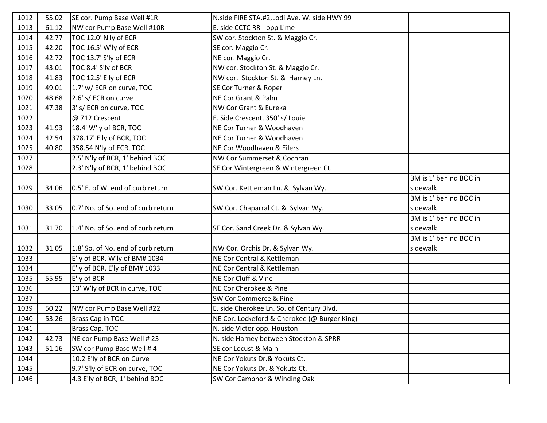| 1012 | 55.02 | SE cor. Pump Base Well #1R         | N.side FIRE STA.#2, Lodi Ave. W. side HWY 99 |                        |
|------|-------|------------------------------------|----------------------------------------------|------------------------|
| 1013 | 61.12 | NW cor Pump Base Well #10R         | E. side CCTC RR - opp Lime                   |                        |
| 1014 | 42.77 | TOC 12.0' N'ly of ECR              | SW cor. Stockton St. & Maggio Cr.            |                        |
| 1015 | 42.20 | TOC 16.5' W'ly of ECR              | SE cor. Maggio Cr.                           |                        |
| 1016 | 42.72 | TOC 13.7' S'ly of ECR              | NE cor. Maggio Cr.                           |                        |
| 1017 | 43.01 | TOC 8.4' S'ly of BCR               | NW cor. Stockton St. & Maggio Cr.            |                        |
| 1018 | 41.83 | TOC 12.5' E'ly of ECR              | NW cor. Stockton St. & Harney Ln.            |                        |
| 1019 | 49.01 | 1.7' w/ ECR on curve, TOC          | SE Cor Turner & Roper                        |                        |
| 1020 | 48.68 | 2.6' s/ ECR on curve               | NE Cor Grant & Palm                          |                        |
| 1021 | 47.38 | 3' s/ ECR on curve, TOC            | NW Cor Grant & Eureka                        |                        |
| 1022 |       | @ 712 Crescent                     | E. Side Crescent, 350' s/ Louie              |                        |
| 1023 | 41.93 | 18.4' W'ly of BCR, TOC             | NE Cor Turner & Woodhaven                    |                        |
| 1024 | 42.54 | 378.17' E'ly of BCR, TOC           | NE Cor Turner & Woodhaven                    |                        |
| 1025 | 40.80 | 358.54 N'ly of ECR, TOC            | NE Cor Woodhaven & Eilers                    |                        |
| 1027 |       | 2.5' N'ly of BCR, 1' behind BOC    | NW Cor Summerset & Cochran                   |                        |
| 1028 |       | 2.3' N'ly of BCR, 1' behind BOC    | SE Cor Wintergreen & Wintergreen Ct.         |                        |
|      |       |                                    |                                              | BM is 1' behind BOC in |
| 1029 | 34.06 | 0.5' E. of W. end of curb return   | SW Cor. Kettleman Ln. & Sylvan Wy.           | sidewalk               |
|      |       |                                    |                                              | BM is 1' behind BOC in |
| 1030 | 33.05 | 0.7' No. of So. end of curb return | SW Cor. Chaparral Ct. & Sylvan Wy.           | sidewalk               |
|      |       |                                    |                                              | BM is 1' behind BOC in |
| 1031 | 31.70 | 1.4' No. of So. end of curb return | SE Cor. Sand Creek Dr. & Sylvan Wy.          | sidewalk               |
|      |       |                                    |                                              | BM is 1' behind BOC in |
| 1032 | 31.05 | 1.8' So. of No. end of curb return | NW Cor. Orchis Dr. & Sylvan Wy.              | sidewalk               |
| 1033 |       | E'ly of BCR, W'ly of BM# 1034      | NE Cor Central & Kettleman                   |                        |
| 1034 |       | E'ly of BCR, E'ly of BM# 1033      | NE Cor Central & Kettleman                   |                        |
| 1035 | 55.95 | E'ly of BCR                        | NE Cor Cluff & Vine                          |                        |
| 1036 |       | 13' W'ly of BCR in curve, TOC      | NE Cor Cherokee & Pine                       |                        |
| 1037 |       |                                    | SW Cor Commerce & Pine                       |                        |
| 1039 | 50.22 | NW cor Pump Base Well #22          | E. side Cherokee Ln. So. of Century Blvd.    |                        |
| 1040 | 53.26 | Brass Cap in TOC                   | NE Cor. Lockeford & Cherokee (@ Burger King) |                        |
| 1041 |       | Brass Cap, TOC                     | N. side Victor opp. Houston                  |                        |
| 1042 | 42.73 | NE cor Pump Base Well # 23         | N. side Harney between Stockton & SPRR       |                        |
| 1043 | 51.16 | SW cor Pump Base Well #4           | SE cor Locust & Main                         |                        |
| 1044 |       | 10.2 E'ly of BCR on Curve          | NE Cor Yokuts Dr.& Yokuts Ct.                |                        |
| 1045 |       | 9.7' S'ly of ECR on curve, TOC     | NE Cor Yokuts Dr. & Yokuts Ct.               |                        |
| 1046 |       | 4.3 E'ly of BCR, 1' behind BOC     | SW Cor Camphor & Winding Oak                 |                        |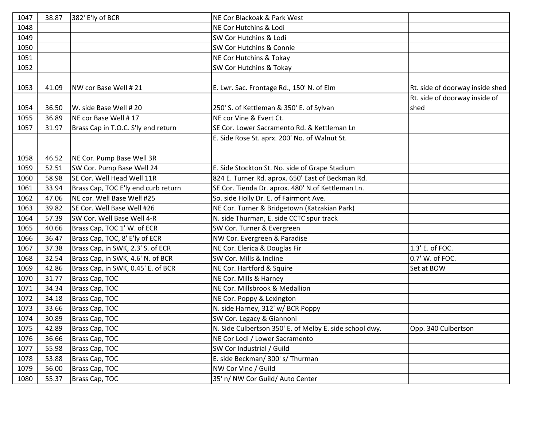| 1047 | 38.87 | 382' E'ly of BCR                    | NE Cor Blackoak & Park West                             |                                 |
|------|-------|-------------------------------------|---------------------------------------------------------|---------------------------------|
| 1048 |       |                                     | NE Cor Hutchins & Lodi                                  |                                 |
| 1049 |       |                                     | SW Cor Hutchins & Lodi                                  |                                 |
| 1050 |       |                                     | SW Cor Hutchins & Connie                                |                                 |
| 1051 |       |                                     | NE Cor Hutchins & Tokay                                 |                                 |
| 1052 |       |                                     | SW Cor Hutchins & Tokay                                 |                                 |
|      |       |                                     |                                                         |                                 |
| 1053 | 41.09 | NW cor Base Well #21                | E. Lwr. Sac. Frontage Rd., 150' N. of Elm               | Rt. side of doorway inside shed |
|      |       |                                     |                                                         | Rt. side of doorway inside of   |
| 1054 | 36.50 | W. side Base Well # 20              | 250' S. of Kettleman & 350' E. of Sylvan                | shed                            |
| 1055 | 36.89 | NE cor Base Well # 17               | NE cor Vine & Evert Ct.                                 |                                 |
| 1057 | 31.97 | Brass Cap in T.O.C. S'ly end return | SE Cor. Lower Sacramento Rd. & Kettleman Ln             |                                 |
|      |       |                                     | E. Side Rose St. aprx. 200' No. of Walnut St.           |                                 |
|      |       |                                     |                                                         |                                 |
| 1058 | 46.52 | NE Cor. Pump Base Well 3R           |                                                         |                                 |
| 1059 | 52.51 | SW Cor. Pump Base Well 24           | E. Side Stockton St. No. side of Grape Stadium          |                                 |
| 1060 | 58.98 | SE Cor. Well Head Well 11R          | 824 E. Turner Rd. aprox. 650' East of Beckman Rd.       |                                 |
| 1061 | 33.94 | Brass Cap, TOC E'ly end curb return | SE Cor. Tienda Dr. aprox. 480' N.of Kettleman Ln.       |                                 |
| 1062 | 47.06 | NE cor. Well Base Well #25          | So. side Holly Dr. E. of Fairmont Ave.                  |                                 |
| 1063 | 39.82 | SE Cor. Well Base Well #26          | NE Cor. Turner & Bridgetown (Katzakian Park)            |                                 |
| 1064 | 57.39 | SW Cor. Well Base Well 4-R          | N. side Thurman, E. side CCTC spur track                |                                 |
| 1065 | 40.66 | Brass Cap, TOC 1' W. of ECR         | SW Cor. Turner & Evergreen                              |                                 |
| 1066 | 36.47 | Brass Cap, TOC, 8' E'ly of ECR      | NW Cor. Evergreen & Paradise                            |                                 |
| 1067 | 37.38 | Brass Cap, in SWK, 2.3' S. of ECR   | NE Cor. Elerica & Douglas Fir                           | 1.3' E. of FOC.                 |
| 1068 | 32.54 | Brass Cap, in SWK, 4.6' N. of BCR   | SW Cor. Mills & Incline                                 | 0.7' W. of FOC.                 |
| 1069 | 42.86 | Brass Cap, in SWK, 0.45' E. of BCR  | NE Cor. Hartford & Squire                               | Set at BOW                      |
| 1070 | 31.77 | Brass Cap, TOC                      | NE Cor. Mills & Harney                                  |                                 |
| 1071 | 34.34 | Brass Cap, TOC                      | NE Cor. Millsbrook & Medallion                          |                                 |
| 1072 | 34.18 | Brass Cap, TOC                      | NE Cor. Poppy & Lexington                               |                                 |
| 1073 | 33.66 | Brass Cap, TOC                      | N. side Harney, 312' w/ BCR Poppy                       |                                 |
| 1074 | 30.89 | Brass Cap, TOC                      | SW Cor. Legacy & Giannoni                               |                                 |
| 1075 | 42.89 | Brass Cap, TOC                      | N. Side Culbertson 350' E. of Melby E. side school dwy. | Opp. 340 Culbertson             |
| 1076 | 36.66 | Brass Cap, TOC                      | NE Cor Lodi / Lower Sacramento                          |                                 |
| 1077 | 55.98 | Brass Cap, TOC                      | SW Cor Industrial / Guild                               |                                 |
| 1078 | 53.88 | Brass Cap, TOC                      | E. side Beckman/ 300' s/ Thurman                        |                                 |
| 1079 | 56.00 | Brass Cap, TOC                      | NW Cor Vine / Guild                                     |                                 |
| 1080 | 55.37 | Brass Cap, TOC                      | 35' n/ NW Cor Guild/ Auto Center                        |                                 |